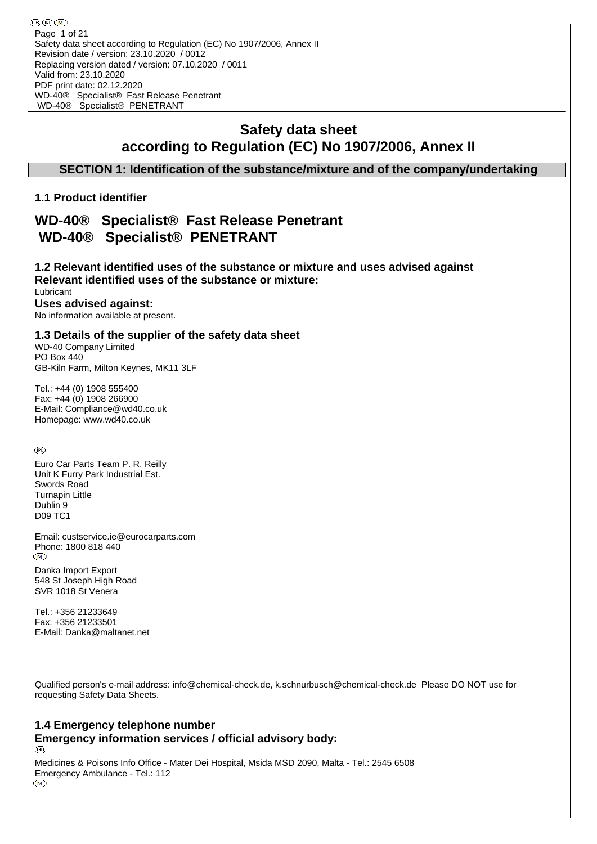# **Safety data sheet according to Regulation (EC) No 1907/2006, Annex II**

## **SECTION 1: Identification of the substance/mixture and of the company/undertaking**

## **1.1 Product identifier**

# **WD-40® Specialist® Fast Release Penetrant WD-40® Specialist® PENETRANT**

### **1.2 Relevant identified uses of the substance or mixture and uses advised against Relevant identified uses of the substance or mixture:**

Lubricant

## **Uses advised against:**

No information available at present.

### **1.3 Details of the supplier of the safety data sheet**

WD-40 Company Limited PO Box 440 GB-Kiln Farm, Milton Keynes, MK11 3LF

Tel.: +44 (0) 1908 555400 Fax: +44 (0) 1908 266900 E-Mail: Compliance@wd40.co.uk Homepage: www.wd40.co.uk

 $^{\circledR}$ 

Euro Car Parts Team P. R. Reilly Unit K Furry Park Industrial Est. Swords Road Turnapin Little Dublin 9 D09 TC1

Email: custservice.ie@eurocarparts.com Phone: 1800 818 440  $(\overline{M})$ 

Danka Import Export 548 St Joseph High Road SVR 1018 St Venera

Tel.: +356 21233649 Fax: +356 21233501 E-Mail: Danka@maltanet.net

Qualified person's e-mail address: info@chemical-check.de, k.schnurbusch@chemical-check.de Please DO NOT use for requesting Safety Data Sheets.

# **1.4 Emergency telephone number Emergency information services / official advisory body:**

Medicines & Poisons Info Office - Mater Dei Hospital, Msida MSD 2090, Malta - Tel.: 2545 6508 Emergency Ambulance - Tel.: 112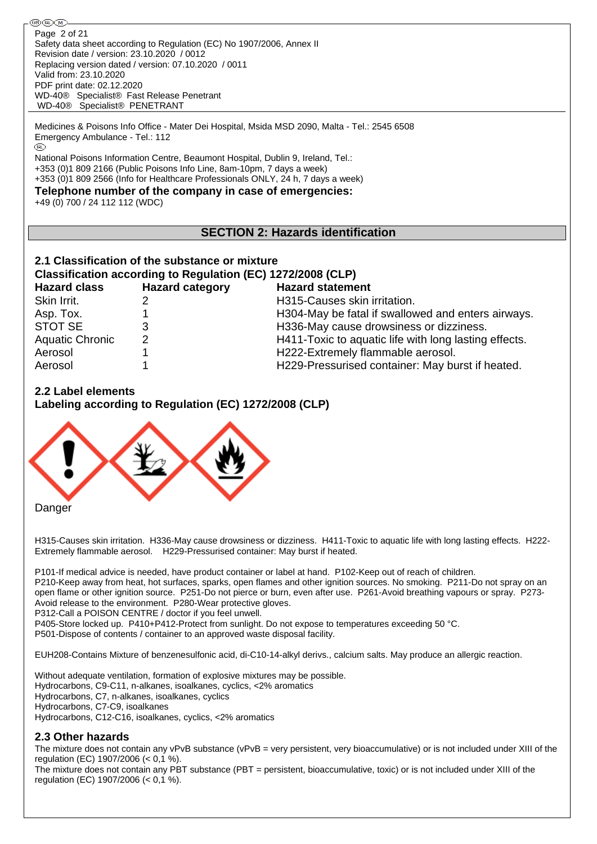֍֎Ծ Page 2 of 21Safety data sheet according to Regulation (EC) No 1907/2006, Annex II Revision date / version: 23.10.2020 / 0012 Replacing version dated / version: 07.10.2020 / 0011 Valid from: 23.10.2020 PDF print date: 02.12.2020 WD-40® Specialist® Fast Release Penetrant WD-40® Specialist® PENETRANT

Medicines & Poisons Info Office - Mater Dei Hospital, Msida MSD 2090, Malta - Tel.: 2545 6508 Emergency Ambulance - Tel.: 112

National Poisons Information Centre, Beaumont Hospital, Dublin 9, Ireland, Tel.: +353 (0)1 809 2166 (Public Poisons Info Line, 8am-10pm, 7 days a week) +353 (0)1 809 2566 (Info for Healthcare Professionals ONLY, 24 h, 7 days a week)

**Telephone number of the company in case of emergencies:**

+49 (0) 700 / 24 112 112 (WDC)

## **SECTION 2: Hazards identification**

## **2.1 Classification of the substance or mixture**

### **Classification according to Regulation (EC) 1272/2008 (CLP)**

| <b>Hazard class</b>    | <b>Hazard category</b> | <b>Hazard statement</b>                               |
|------------------------|------------------------|-------------------------------------------------------|
| Skin Irrit.            |                        | H315-Causes skin irritation.                          |
| Asp. Tox.              |                        | H304-May be fatal if swallowed and enters airways.    |
| STOT SE                |                        | H336-May cause drowsiness or dizziness.               |
| <b>Aquatic Chronic</b> | 2                      | H411-Toxic to aquatic life with long lasting effects. |
| Aerosol                |                        | H222-Extremely flammable aerosol.                     |
| Aerosol                |                        | H229-Pressurised container: May burst if heated.      |

## **2.2 Label elements**

**Labeling according to Regulation (EC) 1272/2008 (CLP)**



H315-Causes skin irritation. H336-May cause drowsiness or dizziness. H411-Toxic to aquatic life with long lasting effects. H222- Extremely flammable aerosol. H229-Pressurised container: May burst if heated.

P101-If medical advice is needed, have product container or label at hand. P102-Keep out of reach of children.

P210-Keep away from heat, hot surfaces, sparks, open flames and other ignition sources. No smoking. P211-Do not spray on an open flame or other ignition source. P251-Do not pierce or burn, even after use. P261-Avoid breathing vapours or spray. P273- Avoid release to the environment. P280-Wear protective gloves.

P312-Call a POISON CENTRE / doctor if you feel unwell.

P405-Store locked up. P410+P412-Protect from sunlight. Do not expose to temperatures exceeding 50 °C.

P501-Dispose of contents / container to an approved waste disposal facility.

EUH208-Contains Mixture of benzenesulfonic acid, di-C10-14-alkyl derivs., calcium salts. May produce an allergic reaction.

Without adequate ventilation, formation of explosive mixtures may be possible. Hydrocarbons, C9-C11, n-alkanes, isoalkanes, cyclics, <2% aromatics Hydrocarbons, C7, n-alkanes, isoalkanes, cyclics Hydrocarbons, C7-C9, isoalkanes Hydrocarbons, C12-C16, isoalkanes, cyclics, <2% aromatics

### **2.3 Other hazards**

The mixture does not contain any vPvB substance (vPvB = very persistent, very bioaccumulative) or is not included under XIII of the regulation (EC) 1907/2006 (< 0,1 %).

The mixture does not contain any PBT substance (PBT = persistent, bioaccumulative, toxic) or is not included under XIII of the regulation (EC) 1907/2006 (< 0,1 %).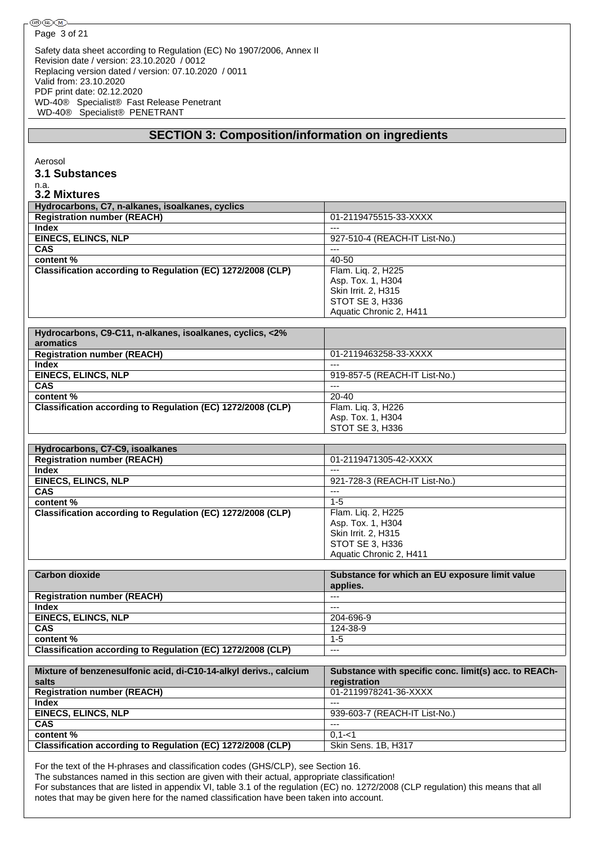| ®®®∧                                                                                                                |                                                            |
|---------------------------------------------------------------------------------------------------------------------|------------------------------------------------------------|
| Page 3 of 21                                                                                                        |                                                            |
|                                                                                                                     |                                                            |
| Safety data sheet according to Regulation (EC) No 1907/2006, Annex II<br>Revision date / version: 23.10.2020 / 0012 |                                                            |
| Replacing version dated / version: 07.10.2020 / 0011                                                                |                                                            |
| Valid from: 23.10.2020                                                                                              |                                                            |
|                                                                                                                     |                                                            |
| PDF print date: 02.12.2020                                                                                          |                                                            |
| WD-40® Specialist® Fast Release Penetrant<br>WD-40® Specialist® PENETRANT                                           |                                                            |
|                                                                                                                     |                                                            |
| <b>SECTION 3: Composition/information on ingredients</b>                                                            |                                                            |
|                                                                                                                     |                                                            |
|                                                                                                                     |                                                            |
| Aerosol                                                                                                             |                                                            |
| 3.1 Substances                                                                                                      |                                                            |
| n.a.                                                                                                                |                                                            |
| <b>3.2 Mixtures</b>                                                                                                 |                                                            |
| Hydrocarbons, C7, n-alkanes, isoalkanes, cyclics                                                                    |                                                            |
| <b>Registration number (REACH)</b>                                                                                  | 01-2119475515-33-XXXX                                      |
| Index                                                                                                               | $\sim$                                                     |
| <b>EINECS, ELINCS, NLP</b>                                                                                          | 927-510-4 (REACH-IT List-No.)                              |
| <b>CAS</b>                                                                                                          | $---$                                                      |
| content %                                                                                                           | $40 - 50$                                                  |
| Classification according to Regulation (EC) 1272/2008 (CLP)                                                         | Flam. Liq. 2, H225                                         |
|                                                                                                                     | Asp. Tox. 1, H304                                          |
|                                                                                                                     | Skin Irrit. 2, H315                                        |
|                                                                                                                     | STOT SE 3, H336                                            |
|                                                                                                                     | Aquatic Chronic 2, H411                                    |
| Hydrocarbons, C9-C11, n-alkanes, isoalkanes, cyclics, <2%                                                           |                                                            |
| aromatics                                                                                                           |                                                            |
| <b>Registration number (REACH)</b>                                                                                  | 01-2119463258-33-XXXX                                      |
| <b>Index</b>                                                                                                        | $\sim$                                                     |
| <b>EINECS, ELINCS, NLP</b>                                                                                          | 919-857-5 (REACH-IT List-No.)                              |
| <b>CAS</b>                                                                                                          |                                                            |
| content %                                                                                                           | 20-40                                                      |
| Classification according to Regulation (EC) 1272/2008 (CLP)                                                         | Flam. Liq. 3, H226                                         |
|                                                                                                                     | Asp. Tox. 1, H304                                          |
|                                                                                                                     | STOT SE 3, H336                                            |
| Hydrocarbons, C7-C9, isoalkanes                                                                                     |                                                            |
| <b>Registration number (REACH)</b>                                                                                  | 01-2119471305-42-XXXX                                      |
| <b>Index</b>                                                                                                        |                                                            |
| <b>EINECS, ELINCS, NLP</b>                                                                                          | 921-728-3 (REACH-IT List-No.)                              |
| <b>CAS</b>                                                                                                          | $\cdots$                                                   |
| content%                                                                                                            | $1-5$                                                      |
| Classification according to Regulation (EC) 1272/2008 (CLP)                                                         | Flam. Liq. 2, H225                                         |
|                                                                                                                     | Asp. Tox. 1, H304                                          |
|                                                                                                                     | Skin Irrit. 2, H315                                        |
|                                                                                                                     | STOT SE 3, H336                                            |
|                                                                                                                     | Aquatic Chronic 2, H411                                    |
|                                                                                                                     |                                                            |
| <b>Carbon dioxide</b>                                                                                               | Substance for which an EU exposure limit value<br>applies. |
| <b>Registration number (REACH)</b>                                                                                  | $---$                                                      |
| <b>Index</b>                                                                                                        | $---$                                                      |
| <b>EINECS, ELINCS, NLP</b>                                                                                          | 204-696-9                                                  |
| <b>CAS</b>                                                                                                          | 124-38-9                                                   |
| content %                                                                                                           | $1 - 5$                                                    |
| Classification according to Regulation (EC) 1272/2008 (CLP)                                                         | $\overline{a}$                                             |
|                                                                                                                     |                                                            |
| Mixture of benzenesulfonic acid, di-C10-14-alkyl derivs., calcium                                                   | Substance with specific conc. limit(s) acc. to REACh-      |
| salts                                                                                                               | registration                                               |
| <b>Registration number (REACH)</b>                                                                                  | 01-2119978241-36-XXXX                                      |
| <b>Index</b>                                                                                                        | $\overline{a}$                                             |
| <b>EINECS, ELINCS, NLP</b><br><b>CAS</b>                                                                            | 939-603-7 (REACH-IT List-No.)<br>$\overline{a}$            |
| content %                                                                                                           | $0, 1 - 1$                                                 |
| Classification according to Regulation (EC) 1272/2008 (CLP)                                                         | Skin Sens. 1B, H317                                        |
|                                                                                                                     |                                                            |
|                                                                                                                     |                                                            |

For the text of the H-phrases and classification codes (GHS/CLP), see Section 16.

The substances named in this section are given with their actual, appropriate classification!

For substances that are listed in appendix VI, table 3.1 of the regulation (EC) no. 1272/2008 (CLP regulation) this means that all notes that may be given here for the named classification have been taken into account.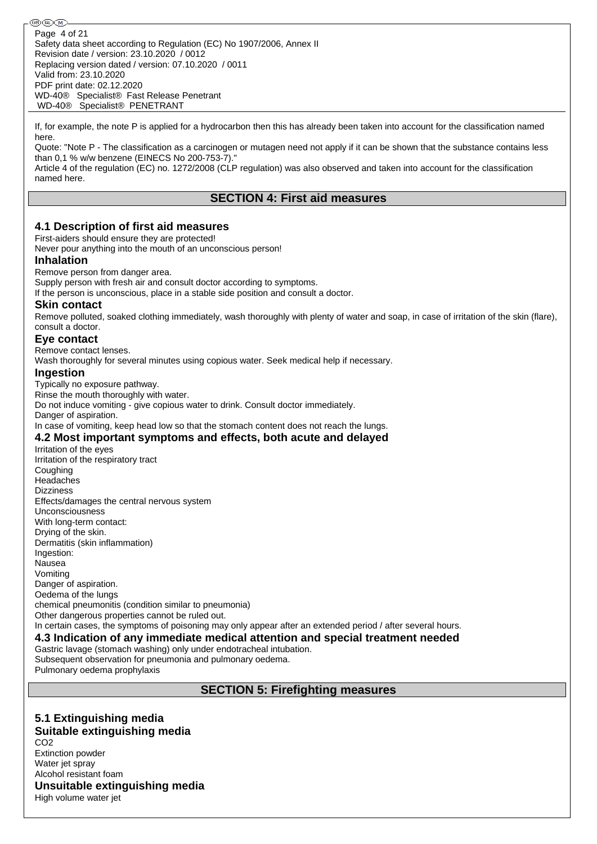֍֎Ծ Page 4 of 21Safety data sheet according to Regulation (EC) No 1907/2006, Annex II Revision date / version: 23.10.2020 / 0012 Replacing version dated / version: 07.10.2020 / 0011 Valid from: 23.10.2020 PDF print date: 02.12.2020 WD-40® Specialist® Fast Release Penetrant WD-40® Specialist® PENETRANT

If, for example, the note P is applied for a hydrocarbon then this has already been taken into account for the classification named here.

Quote: "Note P - The classification as a carcinogen or mutagen need not apply if it can be shown that the substance contains less than 0,1 % w/w benzene (EINECS No 200-753-7)."

Article 4 of the regulation (EC) no. 1272/2008 (CLP regulation) was also observed and taken into account for the classification named here.

## **SECTION 4: First aid measures**

### **4.1 Description of first aid measures**

First-aiders should ensure they are protected!

Never pour anything into the mouth of an unconscious person!

#### **Inhalation**

Remove person from danger area.

Supply person with fresh air and consult doctor according to symptoms.

If the person is unconscious, place in a stable side position and consult a doctor.

### **Skin contact**

Remove polluted, soaked clothing immediately, wash thoroughly with plenty of water and soap, in case of irritation of the skin (flare), consult a doctor.

### **Eye contact**

Remove contact lenses.

Wash thoroughly for several minutes using copious water. Seek medical help if necessary.

#### **Ingestion**

Typically no exposure pathway. Rinse the mouth thoroughly with water. Do not induce vomiting - give copious water to drink. Consult doctor immediately. Danger of aspiration. In case of vomiting, keep head low so that the stomach content does not reach the lungs.

### **4.2 Most important symptoms and effects, both acute and delayed**

Irritation of the eyes Irritation of the respiratory tract Coughing Headaches **Dizziness** Effects/damages the central nervous system Unconsciousness With long-term contact: Drying of the skin. Dermatitis (skin inflammation) Ingestion: Nausea Vomiting Danger of aspiration. Oedema of the lungs chemical pneumonitis (condition similar to pneumonia) Other dangerous properties cannot be ruled out. In certain cases, the symptoms of poisoning may only appear after an extended period / after several hours.

### **4.3 Indication of any immediate medical attention and special treatment needed**

Gastric lavage (stomach washing) only under endotracheal intubation. Subsequent observation for pneumonia and pulmonary oedema.

Pulmonary oedema prophylaxis

### **SECTION 5: Firefighting measures**

#### **5.1 Extinguishing media Suitable extinguishing media** CO2 Extinction powder Water jet sprav

Alcohol resistant foam

## **Unsuitable extinguishing media**

High volume water jet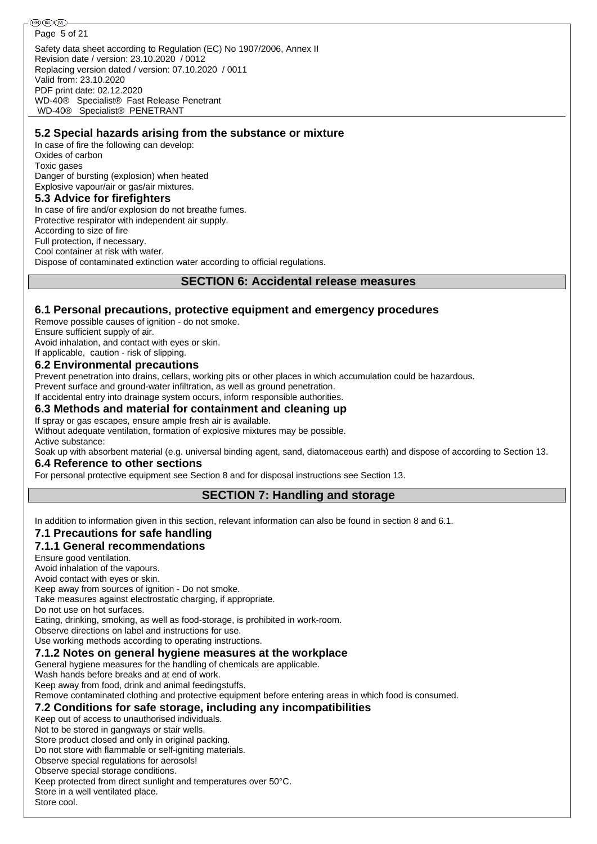### **5.2 Special hazards arising from the substance or mixture**

In case of fire the following can develop: Oxides of carbon Toxic gases Danger of bursting (explosion) when heated Explosive vapour/air or gas/air mixtures.

### **5.3 Advice for firefighters**

WD-40® Specialist® PENETRANT

In case of fire and/or explosion do not breathe fumes.

Protective respirator with independent air supply.

According to size of fire

Full protection, if necessary.

Cool container at risk with water.

Dispose of contaminated extinction water according to official regulations.

### **SECTION 6: Accidental release measures**

### **6.1 Personal precautions, protective equipment and emergency procedures**

Remove possible causes of ignition - do not smoke. Ensure sufficient supply of air.

Avoid inhalation, and contact with eyes or skin.

If applicable, caution - risk of slipping.

## **6.2 Environmental precautions**

Prevent penetration into drains, cellars, working pits or other places in which accumulation could be hazardous.

Prevent surface and ground-water infiltration, as well as ground penetration.

If accidental entry into drainage system occurs, inform responsible authorities.

### **6.3 Methods and material for containment and cleaning up**

If spray or gas escapes, ensure ample fresh air is available.

Without adequate ventilation, formation of explosive mixtures may be possible. Active substance:

Soak up with absorbent material (e.g. universal binding agent, sand, diatomaceous earth) and dispose of according to Section 13.

### **6.4 Reference to other sections**

For personal protective equipment see Section 8 and for disposal instructions see Section 13.

## **SECTION 7: Handling and storage**

In addition to information given in this section, relevant information can also be found in section 8 and 6.1.

## **7.1 Precautions for safe handling**

## **7.1.1 General recommendations**

Ensure good ventilation.

Avoid inhalation of the vapours.

Avoid contact with eyes or skin.

Keep away from sources of ignition - Do not smoke.

Take measures against electrostatic charging, if appropriate.

Do not use on hot surfaces.

Eating, drinking, smoking, as well as food-storage, is prohibited in work-room.

Observe directions on label and instructions for use.

Use working methods according to operating instructions.

## **7.1.2 Notes on general hygiene measures at the workplace**

General hygiene measures for the handling of chemicals are applicable.

Wash hands before breaks and at end of work.

Keep away from food, drink and animal feedingstuffs.

Remove contaminated clothing and protective equipment before entering areas in which food is consumed.

## **7.2 Conditions for safe storage, including any incompatibilities**

Keep out of access to unauthorised individuals.

Not to be stored in gangways or stair wells.

Store product closed and only in original packing.

Do not store with flammable or self-igniting materials. Observe special regulations for aerosols!

Observe special storage conditions.

Keep protected from direct sunlight and temperatures over 50°C. Store in a well ventilated place.

Store cool.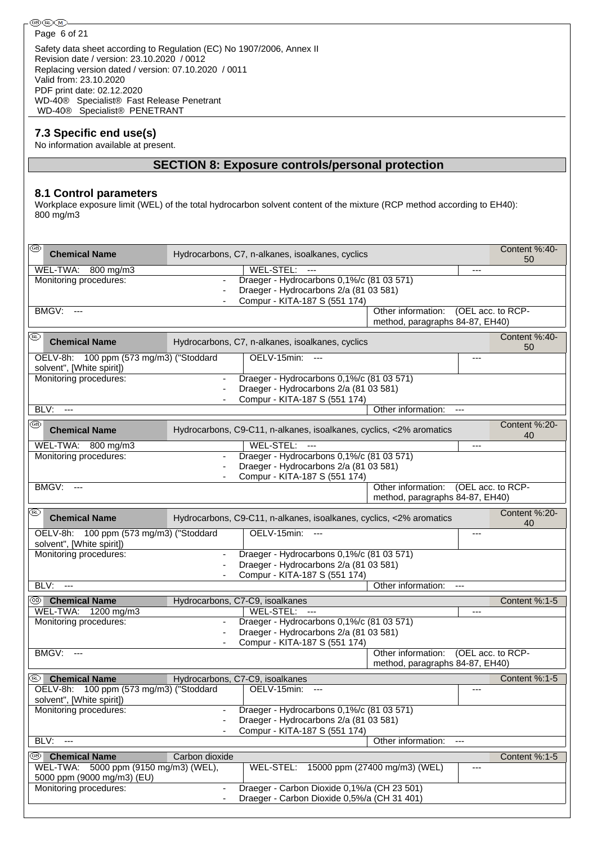Safety data sheet according to Regulation (EC) No 1907/2006, Annex II Revision date / version: 23.10.2020 / 0012 Replacing version dated / version: 07.10.2020 / 0011 Valid from: 23.10.2020 PDF print date: 02.12.2020 WD-40® Specialist® Fast Release Penetrant WD-40® Specialist® PENETRANT

## **7.3 Specific end use(s)**

No information available at present.

# **SECTION 8: Exposure controls/personal protection**

### **8.1 Control parameters**

Workplace exposure limit (WEL) of the total hydrocarbon solvent content of the mixture (RCP method according to EH40): 800 mg/m3

| k®<br><b>Chemical Name</b>                                           |                                 | Hydrocarbons, C7, n-alkanes, isoalkanes, cyclics                    |                                 | Content %:40-<br>50 |
|----------------------------------------------------------------------|---------------------------------|---------------------------------------------------------------------|---------------------------------|---------------------|
| WEL-TWA: 800 mg/m3                                                   |                                 | WEL-STEL:<br>$\overline{\phantom{a}}$                               |                                 | ---                 |
| Monitoring procedures:                                               | $\blacksquare$                  | Draeger - Hydrocarbons 0,1%/c (81 03 571)                           |                                 |                     |
|                                                                      |                                 | Draeger - Hydrocarbons 2/a (81 03 581)                              |                                 |                     |
|                                                                      |                                 | Compur - KITA-187 S (551 174)                                       |                                 |                     |
| <b>BMGV: ---</b>                                                     |                                 |                                                                     | Other information:              | (OEL acc. to RCP-   |
|                                                                      |                                 |                                                                     | method, paragraphs 84-87, EH40) |                     |
| (RL)<br><b>Chemical Name</b>                                         |                                 | Hydrocarbons, C7, n-alkanes, isoalkanes, cyclics                    |                                 | Content %:40-<br>50 |
| OELV-8h: 100 ppm (573 mg/m3) ("Stoddard<br>solvent", [White spirit]) |                                 | OELV-15min: ---                                                     |                                 | ---                 |
| Monitoring procedures:                                               |                                 | Draeger - Hydrocarbons 0,1%/c (81 03 571)                           |                                 |                     |
|                                                                      |                                 | Draeger - Hydrocarbons 2/a (81 03 581)                              |                                 |                     |
|                                                                      |                                 | Compur - KITA-187 S (551 174)                                       |                                 |                     |
| BLV:<br>$\overline{a}$                                               |                                 |                                                                     | Other information:              |                     |
| ⊛                                                                    |                                 |                                                                     |                                 | Content %:20-       |
| <b>Chemical Name</b>                                                 |                                 | Hydrocarbons, C9-C11, n-alkanes, isoalkanes, cyclics, <2% aromatics |                                 | 40                  |
| WEL-TWA: 800 mg/m3                                                   |                                 | WEL-STEL:<br>$\overline{a}$                                         |                                 |                     |
| Monitoring procedures:                                               | $\blacksquare$                  | Draeger - Hydrocarbons 0,1%/c (81 03 571)                           |                                 |                     |
|                                                                      |                                 | Draeger - Hydrocarbons 2/a (81 03 581)                              |                                 |                     |
|                                                                      |                                 | Compur - KITA-187 S (551 174)                                       |                                 |                     |
| BMGV:<br>---                                                         |                                 |                                                                     | Other information:              | (OEL acc. to RCP-   |
|                                                                      |                                 |                                                                     | method, paragraphs 84-87, EH40) |                     |
| (IRL)<br><b>Chemical Name</b>                                        |                                 | Hydrocarbons, C9-C11, n-alkanes, isoalkanes, cyclics, <2% aromatics |                                 | Content %:20-<br>40 |
| OELV-8h: 100 ppm (573 mg/m3) ("Stoddard<br>solvent", [White spirit]) |                                 | OELV-15min:<br>$---$                                                |                                 | ---                 |
| Monitoring procedures:                                               |                                 | Draeger - Hydrocarbons 0,1%/c (81 03 571)                           |                                 |                     |
|                                                                      |                                 | Draeger - Hydrocarbons 2/a (81 03 581)                              |                                 |                     |
|                                                                      |                                 | Compur - KITA-187 S (551 174)                                       |                                 |                     |
| BLV:<br>$\overline{a}$                                               |                                 |                                                                     | Other information:              | $---$               |
| <sup>39</sup> Chemical Name                                          | Hydrocarbons, C7-C9, isoalkanes |                                                                     |                                 | Content %:1-5       |
| WEL-TWA: 1200 mg/m3                                                  |                                 | WEL-STEL: ---                                                       |                                 | ---                 |
| Monitoring procedures:                                               |                                 | Draeger - Hydrocarbons 0,1%/c (81 03 571)                           |                                 |                     |
|                                                                      |                                 | Draeger - Hydrocarbons 2/a (81 03 581)                              |                                 |                     |
|                                                                      |                                 | Compur - KITA-187 S (551 174)                                       |                                 |                     |
| BMGV:<br>$---$                                                       |                                 |                                                                     | Other information:              | (OEL acc. to RCP-   |
|                                                                      |                                 |                                                                     | method, paragraphs 84-87, EH40) |                     |
| (IRL)<br><b>Chemical Name</b>                                        | Hydrocarbons, C7-C9, isoalkanes |                                                                     |                                 | Content %:1-5       |
| OELV-8h: 100 ppm (573 mg/m3) ("Stoddard                              |                                 | OELV-15min: ---                                                     |                                 | ---                 |
| solvent", [White spirit])                                            |                                 |                                                                     |                                 |                     |
| Monitoring procedures:                                               |                                 | Draeger - Hydrocarbons 0,1%/c (81 03 571)                           |                                 |                     |
|                                                                      |                                 | Draeger - Hydrocarbons 2/a (81 03 581)                              |                                 |                     |
|                                                                      |                                 | Compur - KITA-187 S (551 174)                                       |                                 |                     |
| BLV:<br>$--$                                                         |                                 |                                                                     | Other information:              |                     |
| (CB)∣<br><b>Chemical Name</b>                                        | Carbon dioxide                  |                                                                     |                                 | Content %:1-5       |
| WEL-TWA: 5000 ppm (9150 mg/m3) (WEL),                                |                                 | WEL-STEL:                                                           | 15000 ppm (27400 mg/m3) (WEL)   | ---                 |
| 5000 ppm (9000 mg/m3) (EU)                                           |                                 |                                                                     |                                 |                     |
| Monitoring procedures:                                               |                                 | Draeger - Carbon Dioxide 0,1%/a (CH 23 501)                         |                                 |                     |
|                                                                      |                                 | Draeger - Carbon Dioxide 0,5%/a (CH 31 401)                         |                                 |                     |
|                                                                      |                                 |                                                                     |                                 |                     |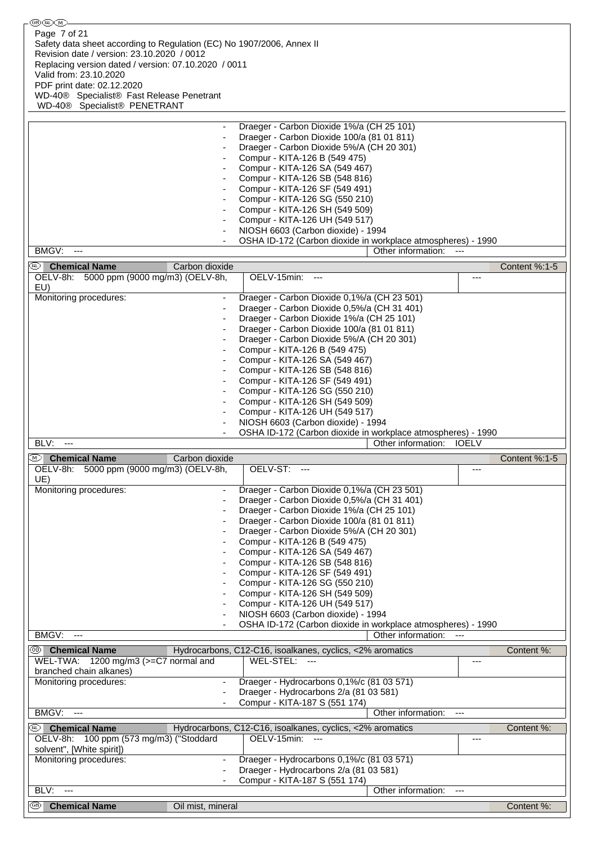| (GB) (IRL) (M )-                                                               |                                                                                            |                          |
|--------------------------------------------------------------------------------|--------------------------------------------------------------------------------------------|--------------------------|
| Page 7 of 21                                                                   |                                                                                            |                          |
| Safety data sheet according to Regulation (EC) No 1907/2006, Annex II          |                                                                                            |                          |
| Revision date / version: 23.10.2020 / 0012                                     |                                                                                            |                          |
| Replacing version dated / version: 07.10.2020 / 0011<br>Valid from: 23.10.2020 |                                                                                            |                          |
| PDF print date: 02.12.2020                                                     |                                                                                            |                          |
| WD-40 <sup>®</sup> Specialist <sup>®</sup> Fast Release Penetrant              |                                                                                            |                          |
| WD-40® Specialist® PENETRANT                                                   |                                                                                            |                          |
|                                                                                |                                                                                            |                          |
|                                                                                | Draeger - Carbon Dioxide 1%/a (CH 25 101)                                                  |                          |
| ٠                                                                              | Draeger - Carbon Dioxide 100/a (81 01 811)                                                 |                          |
|                                                                                | Draeger - Carbon Dioxide 5%/A (CH 20 301)                                                  |                          |
|                                                                                | Compur - KITA-126 B (549 475)<br>Compur - KITA-126 SA (549 467)                            |                          |
|                                                                                | Compur - KITA-126 SB (548 816)                                                             |                          |
|                                                                                | Compur - KITA-126 SF (549 491)                                                             |                          |
|                                                                                | Compur - KITA-126 SG (550 210)                                                             |                          |
|                                                                                | Compur - KITA-126 SH (549 509)                                                             |                          |
|                                                                                | Compur - KITA-126 UH (549 517)                                                             |                          |
|                                                                                | NIOSH 6603 (Carbon dioxide) - 1994                                                         |                          |
| BMGV:<br>$\qquad \qquad - \qquad$                                              | OSHA ID-172 (Carbon dioxide in workplace atmospheres) - 1990<br>Other information:         | $---$                    |
|                                                                                |                                                                                            |                          |
| <sup>(®)</sup> Chemical Name<br>Carbon dioxide                                 |                                                                                            | Content %:1-5            |
| OELV-8h: 5000 ppm (9000 mg/m3) (OELV-8h,                                       | OELV-15min: ---                                                                            | ---                      |
| EU)<br>Monitoring procedures:                                                  | Draeger - Carbon Dioxide 0,1%/a (CH 23 501)                                                |                          |
|                                                                                | Draeger - Carbon Dioxide 0,5%/a (CH 31 401)                                                |                          |
|                                                                                | Draeger - Carbon Dioxide 1%/a (CH 25 101)                                                  |                          |
|                                                                                | Draeger - Carbon Dioxide 100/a (81 01 811)                                                 |                          |
|                                                                                | Draeger - Carbon Dioxide 5%/A (CH 20 301)                                                  |                          |
|                                                                                | Compur - KITA-126 B (549 475)                                                              |                          |
|                                                                                | Compur - KITA-126 SA (549 467)                                                             |                          |
|                                                                                | Compur - KITA-126 SB (548 816)<br>Compur - KITA-126 SF (549 491)                           |                          |
|                                                                                | Compur - KITA-126 SG (550 210)                                                             |                          |
|                                                                                | Compur - KITA-126 SH (549 509)                                                             |                          |
|                                                                                | Compur - KITA-126 UH (549 517)                                                             |                          |
|                                                                                |                                                                                            |                          |
|                                                                                | NIOSH 6603 (Carbon dioxide) - 1994                                                         |                          |
|                                                                                | OSHA ID-172 (Carbon dioxide in workplace atmospheres) - 1990                               |                          |
| BLV:<br>$\overline{a}$                                                         | Other information:                                                                         | <b>IOELV</b>             |
| ◯ Chemical Name<br>Carbon dioxide                                              |                                                                                            | Content %:1-5            |
| OELV-8h: 5000 ppm (9000 mg/m3) (OELV-8h,                                       | OELV-ST:                                                                                   |                          |
| UE)                                                                            |                                                                                            |                          |
| Monitoring procedures:                                                         | Draeger - Carbon Dioxide 0,1%/a (CH 23 501)<br>Draeger - Carbon Dioxide 0,5%/a (CH 31 401) |                          |
|                                                                                | Draeger - Carbon Dioxide 1%/a (CH 25 101)                                                  |                          |
|                                                                                | Draeger - Carbon Dioxide 100/a (81 01 811)                                                 |                          |
|                                                                                | Draeger - Carbon Dioxide 5%/A (CH 20 301)                                                  |                          |
|                                                                                | Compur - KITA-126 B (549 475)                                                              |                          |
|                                                                                | Compur - KITA-126 SA (549 467)                                                             |                          |
|                                                                                | Compur - KITA-126 SB (548 816)<br>Compur - KITA-126 SF (549 491)                           |                          |
|                                                                                | Compur - KITA-126 SG (550 210)                                                             |                          |
|                                                                                | Compur - KITA-126 SH (549 509)                                                             |                          |
|                                                                                | Compur - KITA-126 UH (549 517)                                                             |                          |
|                                                                                | NIOSH 6603 (Carbon dioxide) - 1994                                                         |                          |
| $\qquad \qquad \cdots$                                                         | OSHA ID-172 (Carbon dioxide in workplace atmospheres) - 1990                               |                          |
| BMGV:                                                                          | Other information:                                                                         |                          |
| <sup>3</sup> Chemical Name                                                     | Hydrocarbons, C12-C16, isoalkanes, cyclics, <2% aromatics                                  | Content %:<br>---        |
| WEL-TWA: 1200 mg/m3 (>=C7 normal and<br>branched chain alkanes)                | WEL-STEL: ---                                                                              |                          |
| Monitoring procedures:                                                         | Draeger - Hydrocarbons 0,1%/c (81 03 571)                                                  |                          |
|                                                                                | Draeger - Hydrocarbons 2/a (81 03 581)                                                     |                          |
|                                                                                | Compur - KITA-187 S (551 174)                                                              |                          |
| BMGV:<br>$\overline{a}$                                                        | Other information:                                                                         | $\overline{\phantom{a}}$ |
| (BL)<br><b>Chemical Name</b>                                                   | Hydrocarbons, C12-C16, isoalkanes, cyclics, <2% aromatics                                  | Content %:               |
| OELV-8h: 100 ppm (573 mg/m3) ("Stoddard                                        | OELV-15min:                                                                                | ---                      |
| solvent", [White spirit])                                                      |                                                                                            |                          |
| Monitoring procedures:                                                         | Draeger - Hydrocarbons 0,1%/c (81 03 571)<br>Draeger - Hydrocarbons 2/a (81 03 581)        |                          |
|                                                                                | Compur - KITA-187 S (551 174)                                                              |                          |
| BLV:<br>$\overline{a}$                                                         | Other information:                                                                         | $---$                    |
| ⊛<br><b>Chemical Name</b><br>Oil mist, mineral                                 |                                                                                            | Content %:               |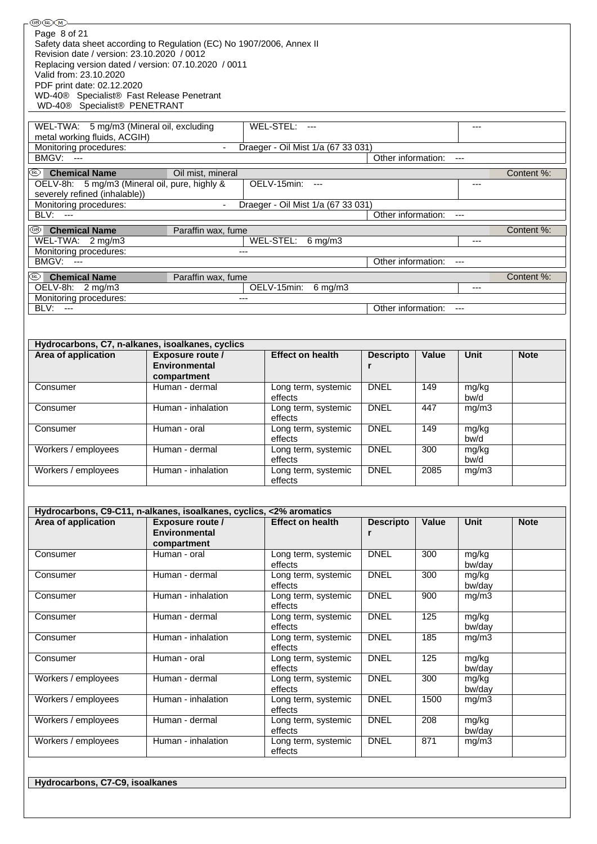| Revision date / version: 23.10.2020 / 0012                                     | Replacing version dated / version: 07.10.2020 / 0011                 |                                           |                       |                  |                 |             |
|--------------------------------------------------------------------------------|----------------------------------------------------------------------|-------------------------------------------|-----------------------|------------------|-----------------|-------------|
| Valid from: 23.10.2020<br>PDF print date: 02.12.2020                           |                                                                      |                                           |                       |                  |                 |             |
| WD-40® Specialist® Fast Release Penetrant<br>WD-40® Specialist® PENETRANT      |                                                                      |                                           |                       |                  |                 |             |
| WEL-TWA: 5 mg/m3 (Mineral oil, excluding                                       |                                                                      | WEL-STEL: ---                             |                       |                  | $---$           |             |
| metal working fluids, ACGIH)                                                   |                                                                      |                                           |                       |                  |                 |             |
| Monitoring procedures:<br>BMGV: ---                                            |                                                                      | Draeger - Oil Mist 1/a (67 33 031)        | Other information:    |                  | $---$           |             |
| (RD  <br><b>Chemical Name</b>                                                  | Oil mist, mineral                                                    |                                           |                       |                  |                 | Content %:  |
| OELV-8h: 5 mg/m3 (Mineral oil, pure, highly &<br>severely refined (inhalable)) |                                                                      | OELV-15min: ---                           |                       |                  | ---             |             |
| Monitoring procedures:<br><b>BLV: ---</b>                                      |                                                                      | Draeger - Oil Mist 1/a (67 33 031)        | Other information:    |                  | $---$           |             |
| ®∣<br><b>Chemical Name</b>                                                     | Paraffin wax, fume                                                   |                                           |                       |                  |                 | Content %:  |
| WEL-TWA: 2 mg/m3<br>Monitoring procedures:                                     | $---$                                                                | WEL-STEL:<br>$6$ mg/m $3$                 |                       |                  | $---$           |             |
| BMGV:<br>$\overline{\phantom{a}}$                                              |                                                                      |                                           | Other information:    |                  | $\overline{a}$  |             |
| (RD  <br><b>Chemical Name</b>                                                  | Paraffin wax, fume                                                   |                                           |                       |                  |                 | Content %:  |
| OELV-8h: 2 mg/m3<br>Monitoring procedures:                                     |                                                                      | OELV-15min:<br>$6$ mg/m $3$               |                       |                  | ---             |             |
| BLV: ---                                                                       |                                                                      |                                           | Other information:    |                  | $\cdots$        |             |
|                                                                                |                                                                      |                                           |                       |                  |                 |             |
| Area of application                                                            | Hydrocarbons, C7, n-alkanes, isoalkanes, cyclics<br>Exposure route / | <b>Effect on health</b>                   | <b>Descripto</b>      | Value            | Unit            | <b>Note</b> |
|                                                                                | Environmental<br>compartment                                         |                                           | r                     |                  |                 |             |
| Consumer                                                                       | Human - dermal                                                       | Long term, systemic<br>effects            | <b>DNEL</b>           | 149              | mg/kg<br>bw/d   |             |
| Consumer                                                                       | Human - inhalation                                                   | Long term, systemic<br>effects            | <b>DNEL</b>           | 447              | mg/m3           |             |
| Consumer                                                                       | Human - oral                                                         | Long term, systemic<br>effects            | <b>DNEL</b>           | 149              | mg/kg<br>bw/d   |             |
| Workers / employees                                                            | Human - dermal                                                       | Long term, systemic<br>effects            | <b>DNEL</b>           | 300              | mg/kg<br>bw/d   |             |
| Workers / employees                                                            | Human - inhalation                                                   | Long term, systemic<br>effects            | <b>DNEL</b>           | 2085             | mg/m3           |             |
|                                                                                |                                                                      |                                           |                       |                  |                 |             |
|                                                                                | Hydrocarbons, C9-C11, n-alkanes, isoalkanes, cyclics, <2% aromatics  |                                           |                       |                  |                 |             |
| Area of application                                                            | Exposure route /<br>Environmental                                    | <b>Effect on health</b>                   | <b>Descripto</b><br>r | Value            | <b>Unit</b>     | <b>Note</b> |
| Consumer                                                                       | compartment<br>Human - oral                                          | Long term, systemic<br>effects            | <b>DNEL</b>           | 300              | mg/kg<br>bw/day |             |
| Consumer                                                                       | Human - dermal                                                       | Long term, systemic                       | <b>DNEL</b>           | 300              | mg/kg           |             |
| Consumer                                                                       | Human - inhalation                                                   | effects<br>Long term, systemic            | <b>DNEL</b>           | 900              | bw/day<br>mg/m3 |             |
| Consumer                                                                       | Human - dermal                                                       | effects<br>Long term, systemic            | <b>DNEL</b>           | 125              | mg/kg           |             |
|                                                                                |                                                                      | effects                                   |                       |                  | bw/day          |             |
| Consumer                                                                       | Human - inhalation                                                   | Long term, systemic<br>effects            | <b>DNEL</b>           | 185              | mg/m3           |             |
| Consumer                                                                       | Human - oral                                                         | Long term, systemic<br>effects            | <b>DNEL</b>           | 125              | mg/kg<br>bw/day |             |
| Workers / employees                                                            | Human - dermal                                                       | Long term, systemic<br>effects            | <b>DNEL</b>           | 300              | mg/kg<br>bw/day |             |
| Workers / employees                                                            | Human - inhalation                                                   | Long term, systemic<br>effects            | <b>DNEL</b>           | 1500             | mg/m3           |             |
| Workers / employees                                                            | Human - dermal                                                       | Long term, systemic                       | <b>DNEL</b>           | $\overline{208}$ | mg/kg           |             |
| Workers / employees                                                            | Human - inhalation                                                   | effects<br>Long term, systemic<br>effects | <b>DNEL</b>           | 871              | bw/day<br>mg/m3 |             |
|                                                                                |                                                                      |                                           |                       |                  |                 |             |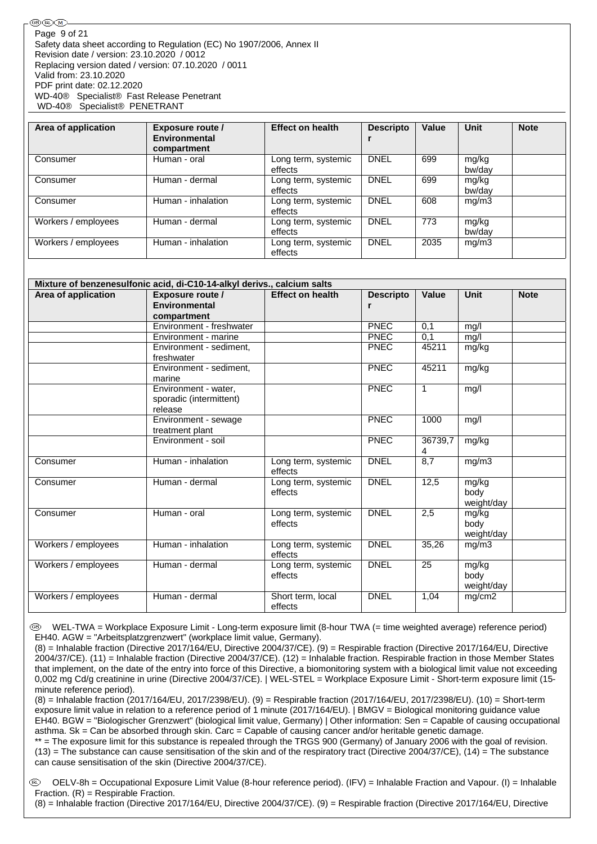| Area of application | Exposure route /<br><b>Environmental</b><br>compartment | <b>Effect on health</b>        | <b>Descripto</b> | Value | <b>Unit</b>     | <b>Note</b> |
|---------------------|---------------------------------------------------------|--------------------------------|------------------|-------|-----------------|-------------|
| Consumer            | Human - oral                                            | Long term, systemic<br>effects | <b>DNEL</b>      | 699   | mg/kg<br>bw/day |             |
| Consumer            | Human - dermal                                          | Long term, systemic<br>effects | <b>DNEL</b>      | 699   | mg/kg<br>bw/dav |             |
| Consumer            | Human - inhalation                                      | Long term, systemic<br>effects | <b>DNEL</b>      | 608   | mg/m3           |             |
| Workers / employees | Human - dermal                                          | Long term, systemic<br>effects | <b>DNEL</b>      | 773   | mg/kg<br>bw/dav |             |
| Workers / employees | Human - inhalation                                      | Long term, systemic<br>effects | <b>DNEL</b>      | 2035  | mg/m3           |             |

| Area of application | Mixture of benzenesulfonic acid, di-C10-14-alkyl derivs., calcium salts<br><b>Exposure route /</b> | <b>Effect on health</b>        | <b>Descripto</b> | Value        | <b>Unit</b>                 | <b>Note</b> |
|---------------------|----------------------------------------------------------------------------------------------------|--------------------------------|------------------|--------------|-----------------------------|-------------|
|                     | Environmental<br>compartment                                                                       |                                | r                |              |                             |             |
|                     | Environment - freshwater                                                                           |                                | <b>PNEC</b>      | 0,1          | mq/l                        |             |
|                     | Environment - marine                                                                               |                                | <b>PNEC</b>      | 0,1          | mg/l                        |             |
|                     | Environment - sediment.<br>freshwater                                                              |                                | <b>PNEC</b>      | 45211        | mg/kg                       |             |
|                     | Environment - sediment.<br>marine                                                                  |                                | <b>PNEC</b>      | 45211        | mg/kg                       |             |
|                     | Environment - water,<br>sporadic (intermittent)<br>release                                         |                                | <b>PNEC</b>      | $\mathbf{1}$ | mg/l                        |             |
|                     | Environment - sewage<br>treatment plant                                                            |                                | <b>PNEC</b>      | 1000         | mg/l                        |             |
|                     | Environment - soil                                                                                 |                                | <b>PNEC</b>      | 36739,7<br>4 | mg/kg                       |             |
| Consumer            | Human - inhalation                                                                                 | Long term, systemic<br>effects | <b>DNEL</b>      | 8,7          | mg/m3                       |             |
| Consumer            | Human - dermal                                                                                     | Long term, systemic<br>effects | <b>DNEL</b>      | 12,5         | mg/kg<br>body<br>weight/day |             |
| Consumer            | Human - oral                                                                                       | Long term, systemic<br>effects | <b>DNEL</b>      | 2,5          | mg/kg<br>body<br>weight/day |             |
| Workers / employees | Human - inhalation                                                                                 | Long term, systemic<br>effects | <b>DNEL</b>      | 35,26        | mg/m3                       |             |
| Workers / employees | Human - dermal                                                                                     | Long term, systemic<br>effects | <b>DNEL</b>      | 25           | mg/kg<br>body<br>weight/day |             |
| Workers / employees | Human - dermal                                                                                     | Short term, local<br>effects   | <b>DNEL</b>      | 1,04         | mg/cm2                      |             |

 WEL-TWA = Workplace Exposure Limit - Long-term exposure limit (8-hour TWA (= time weighted average) reference period) EH40. AGW = "Arbeitsplatzgrenzwert" (workplace limit value, Germany).

(8) = Inhalable fraction (Directive 2017/164/EU, Directive 2004/37/CE). (9) = Respirable fraction (Directive 2017/164/EU, Directive 2004/37/CE). (11) = Inhalable fraction (Directive 2004/37/CE). (12) = Inhalable fraction. Respirable fraction in those Member States that implement, on the date of the entry into force of this Directive, a biomonitoring system with a biological limit value not exceeding 0,002 mg Cd/g creatinine in urine (Directive 2004/37/CE). | WEL-STEL = Workplace Exposure Limit - Short-term exposure limit (15 minute reference period).

(8) = Inhalable fraction (2017/164/EU, 2017/2398/EU). (9) = Respirable fraction (2017/164/EU, 2017/2398/EU). (10) = Short-term exposure limit value in relation to a reference period of 1 minute (2017/164/EU). | BMGV = Biological monitoring guidance value EH40. BGW = "Biologischer Grenzwert" (biological limit value, Germany) | Other information: Sen = Capable of causing occupational asthma. Sk = Can be absorbed through skin. Carc = Capable of causing cancer and/or heritable genetic damage.

\*\* = The exposure limit for this substance is repealed through the TRGS 900 (Germany) of January 2006 with the goal of revision.  $(13)$  = The substance can cause sensitisation of the skin and of the respiratory tract (Directive 2004/37/CE),  $(14)$  = The substance can cause sensitisation of the skin (Directive 2004/37/CE).

 OELV-8h = Occupational Exposure Limit Value (8-hour reference period). (IFV) = Inhalable Fraction and Vapour. (I) = Inhalable Fraction.  $(R)$  = Respirable Fraction.

(8) = Inhalable fraction (Directive 2017/164/EU, Directive 2004/37/CE). (9) = Respirable fraction (Directive 2017/164/EU, Directive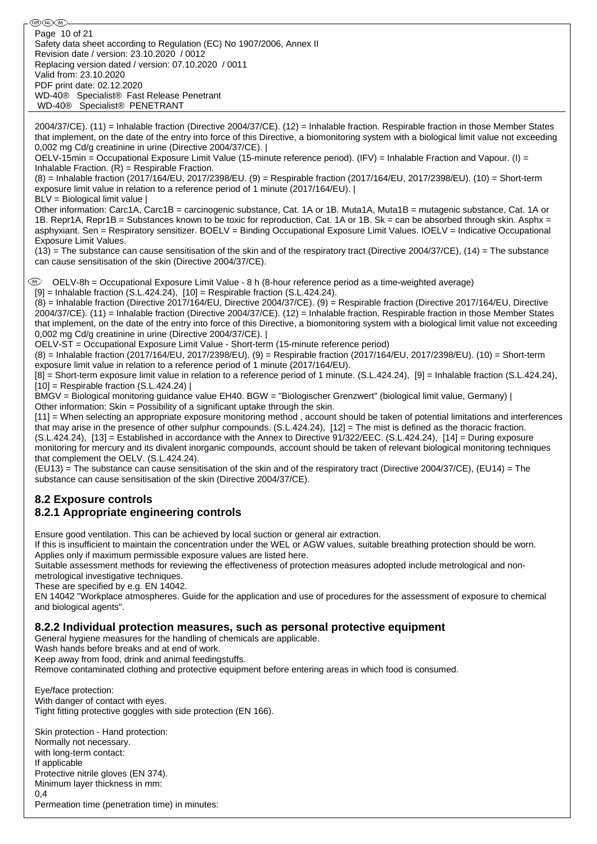֍֎֎ Page 10 of 21Safety data sheet according to Regulation (EC) No 1907/2006, Annex II Revision date / version: 23.10.2020 / 0012 Replacing version dated / version: 07.10.2020 / 0011 Valid from: 23.10.2020 PDF print date: 02.12.2020 WD-40® Specialist® Fast Release Penetrant WD-40® Specialist® PENETRANT 2004/37/CE). (11) = Inhalable fraction (Directive 2004/37/CE). (12) = Inhalable fraction. Respirable fraction in those Member States that implement, on the date of the entry into force of this Directive, a biomonitoring system with a biological limit value not exceeding 0,002 mg Cd/g creatinine in urine (Directive 2004/37/CE). | OELV-15min = Occupational Exposure Limit Value (15-minute reference period). (IFV) = Inhalable Fraction and Vapour. (I) = Inhalable Fraction.  $(R)$  = Respirable Fraction. (8) = Inhalable fraction (2017/164/EU, 2017/2398/EU. (9) = Respirable fraction (2017/164/EU, 2017/2398/EU). (10) = Short-term exposure limit value in relation to a reference period of 1 minute (2017/164/EU). | BLV = Biological limit value | Other information: Carc1A, Carc1B = carcinogenic substance, Cat. 1A or 1B. Muta1A, Muta1B = mutagenic substance, Cat. 1A or 1B. Repr1A, Repr1B = Substances known to be toxic for reproduction, Cat. 1A or 1B. Sk = can be absorbed through skin. Asphx = asphyxiant. Sen = Respiratory sensitizer. BOELV = Binding Occupational Exposure Limit Values. IOELV = Indicative Occupational Exposure Limit Values.  $(13)$  = The substance can cause sensitisation of the skin and of the respiratory tract (Directive 2004/37/CE),  $(14)$  = The substance can cause sensitisation of the skin (Directive 2004/37/CE). OELV-8h = Occupational Exposure Limit Value - 8 h (8-hour reference period as a time-weighted average)  $[9]$  = Inhalable fraction (S.L.424.24),  $[10]$  = Respirable fraction (S.L.424.24). (8) = Inhalable fraction (Directive 2017/164/EU, Directive 2004/37/CE). (9) = Respirable fraction (Directive 2017/164/EU, Directive 2004/37/CE). (11) = Inhalable fraction (Directive 2004/37/CE). (12) = Inhalable fraction. Respirable fraction in those Member States that implement, on the date of the entry into force of this Directive, a biomonitoring system with a biological limit value not exceeding 0,002 mg Cd/g creatinine in urine (Directive 2004/37/CE). | OELV-ST = Occupational Exposure Limit Value - Short-term (15-minute reference period) (8) = Inhalable fraction (2017/164/EU, 2017/2398/EU). (9) = Respirable fraction (2017/164/EU, 2017/2398/EU). (10) = Short-term exposure limit value in relation to a reference period of 1 minute (2017/164/EU). [8] = Short-term exposure limit value in relation to a reference period of 1 minute. (S.L.424.24), [9] = Inhalable fraction (S.L.424.24),  $[10]$  = Respirable fraction (S.L.424.24) | BMGV = Biological monitoring guidance value EH40. BGW = "Biologischer Grenzwert" (biological limit value, Germany) | Other information: Skin = Possibility of a significant uptake through the skin. [11] = When selecting an appropriate exposure monitoring method , account should be taken of potential limitations and interferences that may arise in the presence of other sulphur compounds. (S.L.424.24), [12] = The mist is defined as the thoracic fraction. (S.L.424.24), [13] = Established in accordance with the Annex to Directive 91/322/EEC. (S.L.424.24), [14] = During exposure monitoring for mercury and its divalent inorganic compounds, account should be taken of relevant biological monitoring techniques that complement the OELV. (S.L.424.24). (EU13) = The substance can cause sensitisation of the skin and of the respiratory tract (Directive 2004/37/CE), (EU14) = The substance can cause sensitisation of the skin (Directive 2004/37/CE). **8.2 Exposure controls 8.2.1 Appropriate engineering controls** Ensure good ventilation. This can be achieved by local suction or general air extraction. If this is insufficient to maintain the concentration under the WEL or AGW values, suitable breathing protection should be worn. Applies only if maximum permissible exposure values are listed here.

Suitable assessment methods for reviewing the effectiveness of protection measures adopted include metrological and nonmetrological investigative techniques.

These are specified by e.g. EN 14042.

EN 14042 "Workplace atmospheres. Guide for the application and use of procedures for the assessment of exposure to chemical and biological agents".

### **8.2.2 Individual protection measures, such as personal protective equipment**

General hygiene measures for the handling of chemicals are applicable.

Wash hands before breaks and at end of work.

Keep away from food, drink and animal feedingstuffs.

Remove contaminated clothing and protective equipment before entering areas in which food is consumed.

Eye/face protection: With danger of contact with eyes. Tight fitting protective goggles with side protection (EN 166).

Skin protection - Hand protection: Normally not necessary. with long-term contact: If applicable Protective nitrile gloves (EN 374). Minimum layer thickness in mm: 0,4 Permeation time (penetration time) in minutes: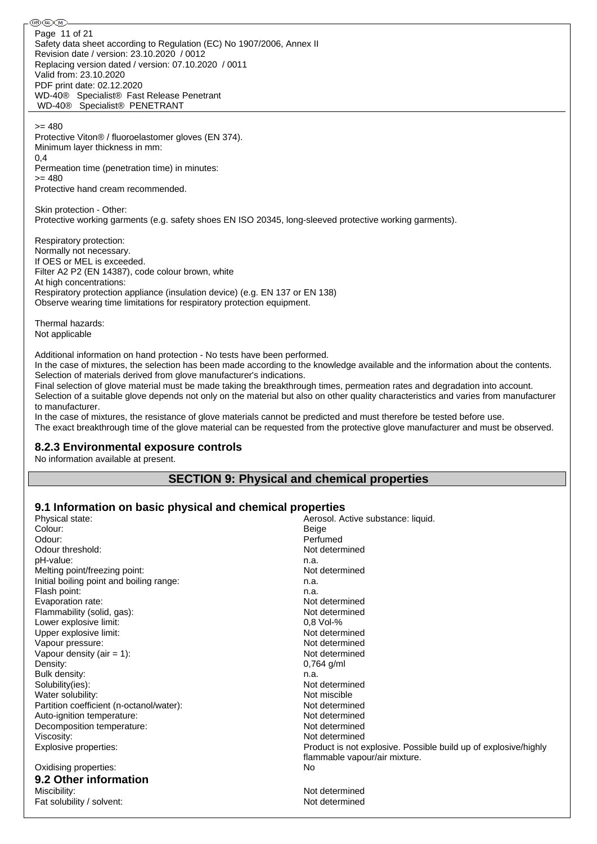֍֎֎ Page 11 of 21Safety data sheet according to Regulation (EC) No 1907/2006, Annex II Revision date / version: 23.10.2020 / 0012 Replacing version dated / version: 07.10.2020 / 0011 Valid from: 23.10.2020 PDF print date: 02.12.2020 WD-40® Specialist® Fast Release Penetrant WD-40® Specialist® PENETRANT

>= 480

Protective Viton® / fluoroelastomer gloves (EN 374). Minimum layer thickness in mm: 0,4 Permeation time (penetration time) in minutes:

 $= 480$ Protective hand cream recommended.

Skin protection - Other: Protective working garments (e.g. safety shoes EN ISO 20345, long-sleeved protective working garments).

Respiratory protection: Normally not necessary. If OES or MEL is exceeded. Filter A2 P2 (EN 14387), code colour brown, white At high concentrations: Respiratory protection appliance (insulation device) (e.g. EN 137 or EN 138) Observe wearing time limitations for respiratory protection equipment.

Thermal hazards: Not applicable

Additional information on hand protection - No tests have been performed.

In the case of mixtures, the selection has been made according to the knowledge available and the information about the contents. Selection of materials derived from glove manufacturer's indications.

Final selection of glove material must be made taking the breakthrough times, permeation rates and degradation into account. Selection of a suitable glove depends not only on the material but also on other quality characteristics and varies from manufacturer to manufacturer.

In the case of mixtures, the resistance of glove materials cannot be predicted and must therefore be tested before use.

The exact breakthrough time of the glove material can be requested from the protective glove manufacturer and must be observed.

### **8.2.3 Environmental exposure controls**

No information available at present.

## **SECTION 9: Physical and chemical properties**

## **9.1 Information on basic physical and chemical properties**

| Physical state:                          | Aerosol. Active substance: liquid.                              |
|------------------------------------------|-----------------------------------------------------------------|
| Colour:                                  | <b>Beige</b>                                                    |
| Odour:                                   | Perfumed                                                        |
| Odour threshold:                         | Not determined                                                  |
| pH-value:                                | n.a.                                                            |
| Melting point/freezing point:            | Not determined                                                  |
| Initial boiling point and boiling range: | n.a.                                                            |
| Flash point:                             | n.a.                                                            |
| Evaporation rate:                        | Not determined                                                  |
| Flammability (solid, gas):               | Not determined                                                  |
| Lower explosive limit:                   | 0,8 Vol-%                                                       |
| Upper explosive limit:                   | Not determined                                                  |
| Vapour pressure:                         | Not determined                                                  |
| Vapour density (air = $1$ ):             | Not determined                                                  |
| Density:                                 | $0,764$ g/ml                                                    |
| Bulk density:                            | n.a.                                                            |
| Solubility(ies):                         | Not determined                                                  |
| Water solubility:                        | Not miscible                                                    |
| Partition coefficient (n-octanol/water): | Not determined                                                  |
| Auto-ignition temperature:               | Not determined                                                  |
| Decomposition temperature:               | Not determined                                                  |
| Viscosity:                               | Not determined                                                  |
| Explosive properties:                    | Product is not explosive. Possible build up of explosive/highly |
|                                          | flammable vapour/air mixture.                                   |
| Oxidising properties:                    | No                                                              |
| 9.2 Other information                    |                                                                 |
| Miscibility:                             | Not determined                                                  |
| Fat solubility / solvent:                | Not determined                                                  |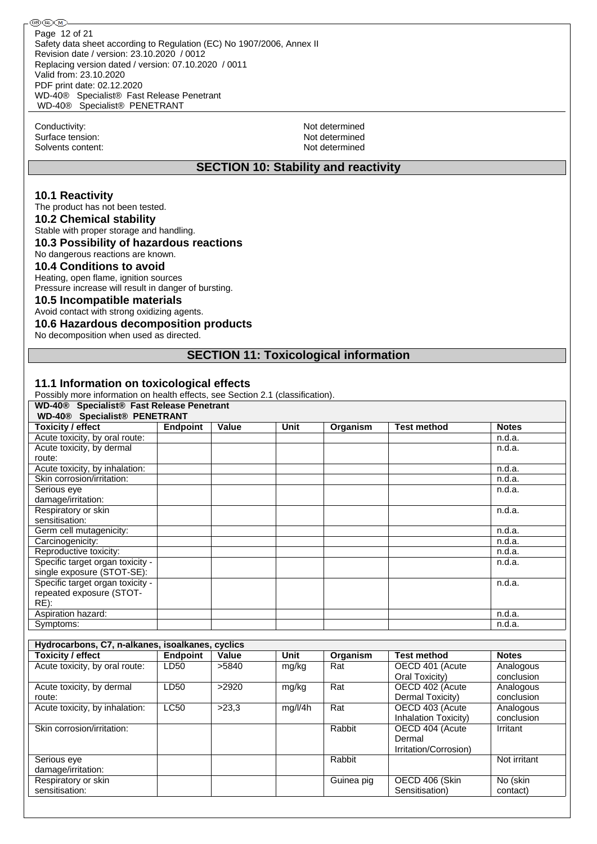Conductivity: Not determined Surface tension: Not determined<br>Solvents content: Not determined<br>Not determined Solvents content:

### **SECTION 10: Stability and reactivity**

### **10.1 Reactivity**

The product has not been tested.

**10.2 Chemical stability**

Stable with proper storage and handling.

## **10.3 Possibility of hazardous reactions**

No dangerous reactions are known.

## **10.4 Conditions to avoid**

Heating, open flame, ignition sources Pressure increase will result in danger of bursting.

### **10.5 Incompatible materials**

Avoid contact with strong oxidizing agents.

### **10.6 Hazardous decomposition products**

No decomposition when used as directed.

### **SECTION 11: Toxicological information**

### **11.1 Information on toxicological effects**

Possibly more information on health effects, see Section 2.1 (classification).

| WD-40 <sup>®</sup> Specialist <sup>®</sup> Fast Release Penetrant |                 |       |      |          |                    |              |
|-------------------------------------------------------------------|-----------------|-------|------|----------|--------------------|--------------|
| <b>WD-40® Specialist® PENETRANT</b>                               |                 |       |      |          |                    |              |
| <b>Toxicity / effect</b>                                          | <b>Endpoint</b> | Value | Unit | Organism | <b>Test method</b> | <b>Notes</b> |
| Acute toxicity, by oral route:                                    |                 |       |      |          |                    | n.d.a.       |
| Acute toxicity, by dermal                                         |                 |       |      |          |                    | n.d.a.       |
| route:                                                            |                 |       |      |          |                    |              |
| Acute toxicity, by inhalation:                                    |                 |       |      |          |                    | n.d.a.       |
| Skin corrosion/irritation:                                        |                 |       |      |          |                    | n.d.a.       |
| Serious eye                                                       |                 |       |      |          |                    | n.d.a.       |
| damage/irritation:                                                |                 |       |      |          |                    |              |
| Respiratory or skin                                               |                 |       |      |          |                    | n.d.a.       |
| sensitisation:                                                    |                 |       |      |          |                    |              |
| Germ cell mutagenicity:                                           |                 |       |      |          |                    | n.d.a.       |
| Carcinogenicity:                                                  |                 |       |      |          |                    | n.d.a.       |
| Reproductive toxicity:                                            |                 |       |      |          |                    | n.d.a.       |
| Specific target organ toxicity -                                  |                 |       |      |          |                    | n.d.a.       |
| single exposure (STOT-SE):                                        |                 |       |      |          |                    |              |
| Specific target organ toxicity -                                  |                 |       |      |          |                    | n.d.a.       |
| repeated exposure (STOT-                                          |                 |       |      |          |                    |              |
| $RE)$ :                                                           |                 |       |      |          |                    |              |
| Aspiration hazard:                                                |                 |       |      |          |                    | n.d.a.       |
| Symptoms:                                                         |                 |       |      |          |                    | n.d.a.       |

| Hydrocarbons, C7, n-alkanes, isoalkanes, cyclics |                 |       |         |            |                       |              |  |  |
|--------------------------------------------------|-----------------|-------|---------|------------|-----------------------|--------------|--|--|
| <b>Toxicity / effect</b>                         | <b>Endpoint</b> | Value | Unit    | Organism   | <b>Test method</b>    | <b>Notes</b> |  |  |
| Acute toxicity, by oral route:                   | LD50            | >5840 | mg/kg   | Rat        | OECD 401 (Acute       | Analogous    |  |  |
|                                                  |                 |       |         |            | Oral Toxicity)        | conclusion   |  |  |
| Acute toxicity, by dermal                        | LD50            | >2920 | mg/kg   | Rat        | OECD 402 (Acute       | Analogous    |  |  |
| route:                                           |                 |       |         |            | Dermal Toxicity)      | conclusion   |  |  |
| Acute toxicity, by inhalation:                   | <b>LC50</b>     | >23.3 | mg/l/4h | Rat        | OECD 403 (Acute       | Analogous    |  |  |
|                                                  |                 |       |         |            | Inhalation Toxicity)  | conclusion   |  |  |
| Skin corrosion/irritation:                       |                 |       |         | Rabbit     | OECD 404 (Acute       | Irritant     |  |  |
|                                                  |                 |       |         |            | Dermal                |              |  |  |
|                                                  |                 |       |         |            | Irritation/Corrosion) |              |  |  |
| Serious eye                                      |                 |       |         | Rabbit     |                       | Not irritant |  |  |
| damage/irritation:                               |                 |       |         |            |                       |              |  |  |
| Respiratory or skin                              |                 |       |         | Guinea pig | OECD 406 (Skin        | No (skin     |  |  |
| sensitisation:                                   |                 |       |         |            | Sensitisation)        | contact)     |  |  |
|                                                  |                 |       |         |            |                       |              |  |  |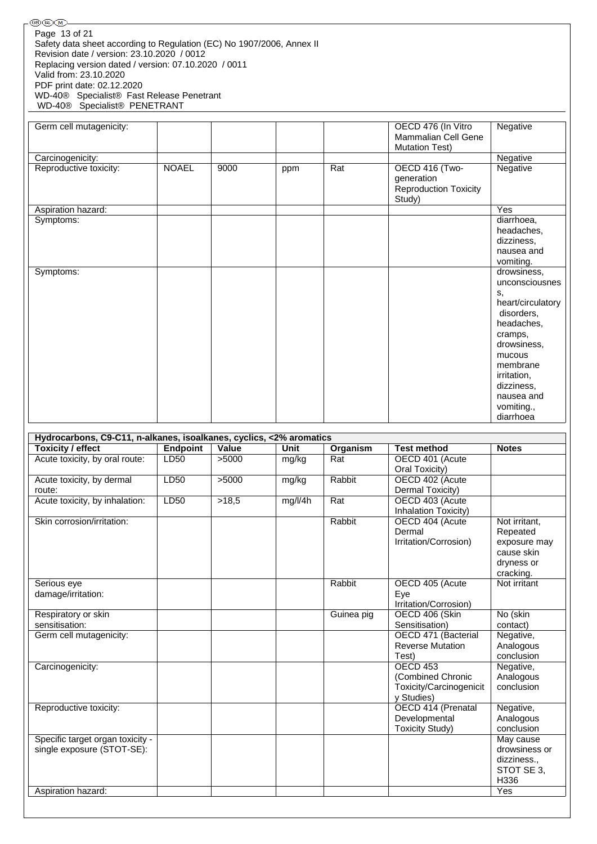| Page 13 of 21              |                                                                       |
|----------------------------|-----------------------------------------------------------------------|
|                            | Safety data sheet according to Regulation (EC) No 1907/2006, Annex II |
|                            | Revision date / version: 23.10.2020 / 0012                            |
|                            | Replacing version dated / version: 07.10.2020 / 0011                  |
| Valid from: 23.10.2020     |                                                                       |
| PDF print date: 02.12.2020 |                                                                       |
|                            | WD-40® Specialist® Fast Release Penetrant                             |
|                            | WD-40® Specialist® PENETRANT                                          |

| Germ cell mutagenicity: |              |      |     |     | OECD 476 (In Vitro<br>Mammalian Cell Gene<br><b>Mutation Test)</b>     | Negative                                                                                                                                                                                                   |
|-------------------------|--------------|------|-----|-----|------------------------------------------------------------------------|------------------------------------------------------------------------------------------------------------------------------------------------------------------------------------------------------------|
| Carcinogenicity:        |              |      |     |     |                                                                        | Negative                                                                                                                                                                                                   |
| Reproductive toxicity:  | <b>NOAEL</b> | 9000 | ppm | Rat | OECD 416 (Two-<br>generation<br><b>Reproduction Toxicity</b><br>Study) | Negative                                                                                                                                                                                                   |
| Aspiration hazard:      |              |      |     |     |                                                                        | Yes                                                                                                                                                                                                        |
| Symptoms:               |              |      |     |     |                                                                        | diarrhoea,<br>headaches,<br>dizziness,<br>nausea and<br>vomiting.                                                                                                                                          |
| Symptoms:               |              |      |     |     |                                                                        | drowsiness,<br>unconsciousnes<br>s.<br>heart/circulatory<br>disorders,<br>headaches,<br>cramps,<br>drowsiness,<br>mucous<br>membrane<br>irritation,<br>dizziness,<br>nausea and<br>vomiting.,<br>diarrhoea |

| Hydrocarbons, C9-C11, n-alkanes, isoalkanes, cyclics, <2% aromatics |                 |       |             |            |                           |               |  |  |  |  |
|---------------------------------------------------------------------|-----------------|-------|-------------|------------|---------------------------|---------------|--|--|--|--|
| Toxicity / effect                                                   | <b>Endpoint</b> | Value | <b>Unit</b> | Organism   | <b>Test method</b>        | <b>Notes</b>  |  |  |  |  |
| Acute toxicity, by oral route:                                      | LD50            | >5000 | mg/kg       | Rat        | OECD 401 (Acute           |               |  |  |  |  |
|                                                                     |                 |       |             |            | Oral Toxicity)            |               |  |  |  |  |
| Acute toxicity, by dermal                                           | LD50            | >5000 | mg/kg       | Rabbit     | OECD 402 (Acute           |               |  |  |  |  |
| route:                                                              |                 |       |             |            | Dermal Toxicity)          |               |  |  |  |  |
| Acute toxicity, by inhalation:                                      | LD50            | >18,5 | mg/l/4h     | Rat        | OECD 403 (Acute           |               |  |  |  |  |
|                                                                     |                 |       |             |            | Inhalation Toxicity)      |               |  |  |  |  |
| Skin corrosion/irritation:                                          |                 |       |             | Rabbit     | OECD 404 (Acute           | Not irritant, |  |  |  |  |
|                                                                     |                 |       |             |            | Dermal                    | Repeated      |  |  |  |  |
|                                                                     |                 |       |             |            | Irritation/Corrosion)     | exposure may  |  |  |  |  |
|                                                                     |                 |       |             |            |                           | cause skin    |  |  |  |  |
|                                                                     |                 |       |             |            |                           | dryness or    |  |  |  |  |
|                                                                     |                 |       |             |            |                           | cracking.     |  |  |  |  |
| Serious eye                                                         |                 |       |             | Rabbit     | OECD 405 (Acute           | Not irritant  |  |  |  |  |
| damage/irritation:                                                  |                 |       |             |            | Eye                       |               |  |  |  |  |
|                                                                     |                 |       |             |            | Irritation/Corrosion)     |               |  |  |  |  |
| Respiratory or skin                                                 |                 |       |             | Guinea pig | OECD 406 (Skin            | No (skin      |  |  |  |  |
| sensitisation:                                                      |                 |       |             |            | Sensitisation)            | contact)      |  |  |  |  |
| Germ cell mutagenicity:                                             |                 |       |             |            | OECD 471 (Bacterial       | Negative,     |  |  |  |  |
|                                                                     |                 |       |             |            | <b>Reverse Mutation</b>   | Analogous     |  |  |  |  |
|                                                                     |                 |       |             |            | Test)                     | conclusion    |  |  |  |  |
| Carcinogenicity:                                                    |                 |       |             |            | OECD 453                  | Negative,     |  |  |  |  |
|                                                                     |                 |       |             |            | (Combined Chronic         | Analogous     |  |  |  |  |
|                                                                     |                 |       |             |            | Toxicity/Carcinogenicit   | conclusion    |  |  |  |  |
|                                                                     |                 |       |             |            | y Studies)                |               |  |  |  |  |
| Reproductive toxicity:                                              |                 |       |             |            | <b>OECD 414 (Prenatal</b> | Negative,     |  |  |  |  |
|                                                                     |                 |       |             |            | Developmental             | Analogous     |  |  |  |  |
|                                                                     |                 |       |             |            | <b>Toxicity Study)</b>    | conclusion    |  |  |  |  |
| Specific target organ toxicity -                                    |                 |       |             |            |                           | May cause     |  |  |  |  |
| single exposure (STOT-SE):                                          |                 |       |             |            |                           | drowsiness or |  |  |  |  |
|                                                                     |                 |       |             |            |                           | dizziness.,   |  |  |  |  |
|                                                                     |                 |       |             |            |                           | STOT SE 3,    |  |  |  |  |
|                                                                     |                 |       |             |            |                           | H336          |  |  |  |  |
| Aspiration hazard:                                                  |                 |       |             |            |                           | Yes           |  |  |  |  |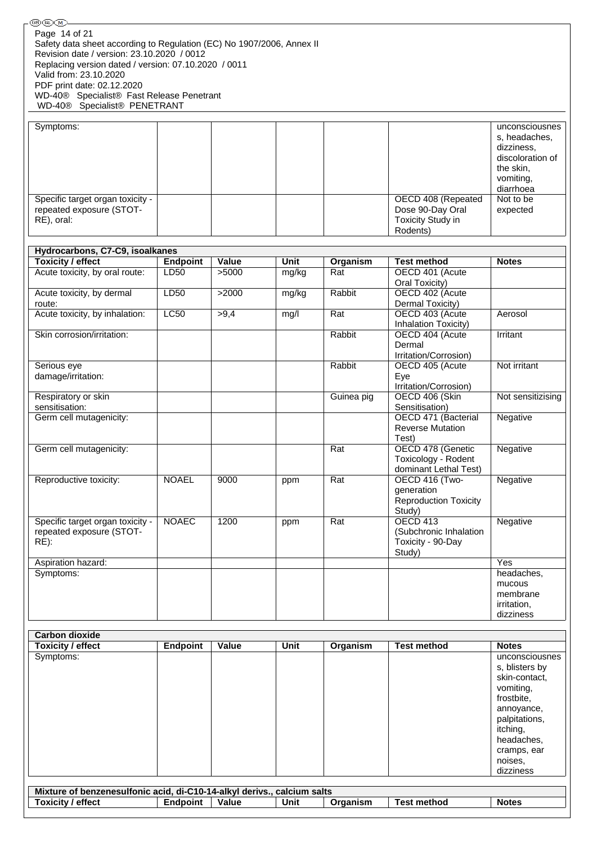| (⊌⊌)(⊮U∖M)—                                                             |                 |       |       |            |                              |                   |
|-------------------------------------------------------------------------|-----------------|-------|-------|------------|------------------------------|-------------------|
| Page 14 of 21                                                           |                 |       |       |            |                              |                   |
| Safety data sheet according to Regulation (EC) No 1907/2006, Annex II   |                 |       |       |            |                              |                   |
| Revision date / version: 23.10.2020 / 0012                              |                 |       |       |            |                              |                   |
| Replacing version dated / version: 07.10.2020 / 0011                    |                 |       |       |            |                              |                   |
| Valid from: 23.10.2020                                                  |                 |       |       |            |                              |                   |
| PDF print date: 02.12.2020                                              |                 |       |       |            |                              |                   |
| WD-40® Specialist® Fast Release Penetrant                               |                 |       |       |            |                              |                   |
| WD-40® Specialist® PENETRANT                                            |                 |       |       |            |                              |                   |
|                                                                         |                 |       |       |            |                              |                   |
| Symptoms:                                                               |                 |       |       |            |                              | unconsciousnes    |
|                                                                         |                 |       |       |            |                              |                   |
|                                                                         |                 |       |       |            |                              | s, headaches,     |
|                                                                         |                 |       |       |            |                              | dizziness,        |
|                                                                         |                 |       |       |            |                              | discoloration of  |
|                                                                         |                 |       |       |            |                              | the skin,         |
|                                                                         |                 |       |       |            |                              | vomiting,         |
|                                                                         |                 |       |       |            |                              | diarrhoea         |
| Specific target organ toxicity -                                        |                 |       |       |            | OECD 408 (Repeated           | Not to be         |
| repeated exposure (STOT-                                                |                 |       |       |            | Dose 90-Day Oral             | expected          |
| RE), oral:                                                              |                 |       |       |            | <b>Toxicity Study in</b>     |                   |
|                                                                         |                 |       |       |            | Rodents)                     |                   |
|                                                                         |                 |       |       |            |                              |                   |
| Hydrocarbons, C7-C9, isoalkanes                                         |                 |       |       |            |                              |                   |
| <b>Toxicity / effect</b>                                                | <b>Endpoint</b> | Value | Unit  | Organism   | <b>Test method</b>           | <b>Notes</b>      |
| Acute toxicity, by oral route:                                          | LD50            | >5000 | mg/kg | Rat        | OECD 401 (Acute              |                   |
|                                                                         |                 |       |       |            | Oral Toxicity)               |                   |
| Acute toxicity, by dermal                                               | LD50            | >2000 | mg/kg | Rabbit     | OECD 402 (Acute              |                   |
| route:                                                                  |                 |       |       |            |                              |                   |
|                                                                         |                 |       |       |            | Dermal Toxicity)             |                   |
| Acute toxicity, by inhalation:                                          | <b>LC50</b>     | >9,4  | mg/l  | Rat        | OECD 403 (Acute              | Aerosol           |
|                                                                         |                 |       |       |            | Inhalation Toxicity)         |                   |
| Skin corrosion/irritation:                                              |                 |       |       | Rabbit     | OECD 404 (Acute              | Irritant          |
|                                                                         |                 |       |       |            | Dermal                       |                   |
|                                                                         |                 |       |       |            | Irritation/Corrosion)        |                   |
| Serious eye                                                             |                 |       |       | Rabbit     | OECD 405 (Acute              | Not irritant      |
| damage/irritation:                                                      |                 |       |       |            | Eye                          |                   |
|                                                                         |                 |       |       |            | Irritation/Corrosion)        |                   |
| Respiratory or skin                                                     |                 |       |       | Guinea pig | OECD 406 (Skin               | Not sensitizising |
| sensitisation:                                                          |                 |       |       |            | Sensitisation)               |                   |
| Germ cell mutagenicity:                                                 |                 |       |       |            | OECD 471 (Bacterial          | Negative          |
|                                                                         |                 |       |       |            | <b>Reverse Mutation</b>      |                   |
|                                                                         |                 |       |       |            | Test)                        |                   |
| Germ cell mutagenicity:                                                 |                 |       |       | Rat        | OECD 478 (Genetic            | Negative          |
|                                                                         |                 |       |       |            | Toxicology - Rodent          |                   |
|                                                                         |                 |       |       |            | dominant Lethal Test)        |                   |
| Reproductive toxicity:                                                  | <b>NOAEL</b>    | 9000  |       | Rat        | OECD 416 (Two-               | Negative          |
|                                                                         |                 |       | ppm   |            | generation                   |                   |
|                                                                         |                 |       |       |            |                              |                   |
|                                                                         |                 |       |       |            | <b>Reproduction Toxicity</b> |                   |
|                                                                         |                 |       |       |            | Study)                       |                   |
| Specific target organ toxicity -                                        | <b>NOAEC</b>    | 1200  | ppm   | Rat        | <b>OECD 413</b>              | Negative          |
| repeated exposure (STOT-                                                |                 |       |       |            | (Subchronic Inhalation       |                   |
| $RE)$ :                                                                 |                 |       |       |            | Toxicity - 90-Day            |                   |
|                                                                         |                 |       |       |            | Study)                       |                   |
| Aspiration hazard:                                                      |                 |       |       |            |                              | Yes               |
| Symptoms:                                                               |                 |       |       |            |                              | headaches,        |
|                                                                         |                 |       |       |            |                              | mucous            |
|                                                                         |                 |       |       |            |                              | membrane          |
|                                                                         |                 |       |       |            |                              | irritation,       |
|                                                                         |                 |       |       |            |                              | dizziness         |
|                                                                         |                 |       |       |            |                              |                   |
| <b>Carbon dioxide</b>                                                   |                 |       |       |            |                              |                   |
| <b>Toxicity / effect</b>                                                | Endpoint        | Value | Unit  | Organism   | <b>Test method</b>           | <b>Notes</b>      |
|                                                                         |                 |       |       |            |                              |                   |
| Symptoms:                                                               |                 |       |       |            |                              | unconsciousnes    |
|                                                                         |                 |       |       |            |                              | s, blisters by    |
|                                                                         |                 |       |       |            |                              | skin-contact,     |
|                                                                         |                 |       |       |            |                              | vomiting,         |
|                                                                         |                 |       |       |            |                              | frostbite,        |
|                                                                         |                 |       |       |            |                              | annoyance,        |
|                                                                         |                 |       |       |            |                              | palpitations,     |
|                                                                         |                 |       |       |            |                              | itching,          |
|                                                                         |                 |       |       |            |                              | headaches,        |
|                                                                         |                 |       |       |            |                              | cramps, ear       |
|                                                                         |                 |       |       |            |                              | noises,           |
|                                                                         |                 |       |       |            |                              | dizziness         |
|                                                                         |                 |       |       |            |                              |                   |
| Mixture of benzenesulfonic acid, di-C10-14-alkyl derivs., calcium salts |                 |       |       |            |                              |                   |
| <b>Toxicity / effect</b>                                                | <b>Endpoint</b> | Value | Unit  | Organism   | <b>Test method</b>           | <b>Notes</b>      |
|                                                                         |                 |       |       |            |                              |                   |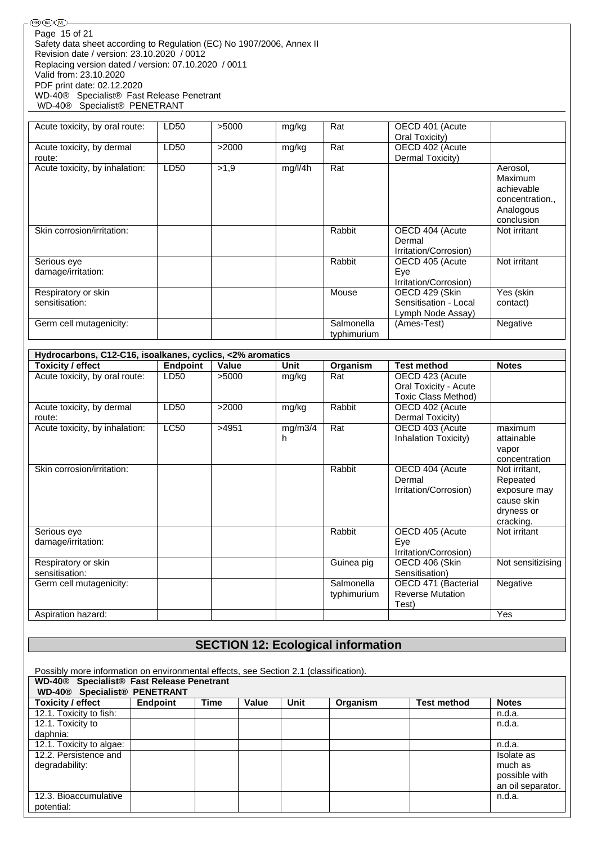®®® Page 15 of 21Safety data sheet according to Regulation (EC) No 1907/2006, Annex II Revision date / version: 23.10.2020 / 0012 Replacing version dated / version: 07.10.2020 / 0011 Valid from: 23.10.2020 PDF print date: 02.12.2020 WD-40® Specialist® Fast Release Penetrant WD-40® Specialist® PENETRANT

| Acute toxicity, by oral route:        | LD50 | >5000 | mg/kg   | Rat                       | OECD 401 (Acute                                              |                                                                               |
|---------------------------------------|------|-------|---------|---------------------------|--------------------------------------------------------------|-------------------------------------------------------------------------------|
| Acute toxicity, by dermal             | LD50 | >2000 | mg/kg   | Rat                       | Oral Toxicity)<br>OECD 402 (Acute                            |                                                                               |
| route:                                |      |       |         |                           | Dermal Toxicity)                                             |                                                                               |
| Acute toxicity, by inhalation:        | LD50 | >1.9  | mg/l/4h | Rat                       |                                                              | Aerosol,<br>Maximum<br>achievable<br>concentration<br>Analogous<br>conclusion |
| Skin corrosion/irritation:            |      |       |         | Rabbit                    | OECD 404 (Acute<br>Dermal<br>Irritation/Corrosion)           | Not irritant                                                                  |
| Serious eye<br>damage/irritation:     |      |       |         | Rabbit                    | OECD 405 (Acute<br>Eye<br>Irritation/Corrosion)              | Not irritant                                                                  |
| Respiratory or skin<br>sensitisation: |      |       |         | Mouse                     | OECD 429 (Skin<br>Sensitisation - Local<br>Lymph Node Assay) | Yes (skin<br>contact)                                                         |
| Germ cell mutagenicity:               |      |       |         | Salmonella<br>typhimurium | (Ames-Test)                                                  | Negative                                                                      |

| Hydrocarbons, C12-C16, isoalkanes, cyclics, <2% aromatics |                 |       |              |                           |                                                                        |                                                                                    |  |  |  |  |  |
|-----------------------------------------------------------|-----------------|-------|--------------|---------------------------|------------------------------------------------------------------------|------------------------------------------------------------------------------------|--|--|--|--|--|
| Toxicity / effect                                         | <b>Endpoint</b> | Value | Unit         | Organism                  | <b>Test method</b>                                                     | <b>Notes</b>                                                                       |  |  |  |  |  |
| Acute toxicity, by oral route:                            | LD50            | >5000 | mg/kg        | Rat                       | OECD 423 (Acute<br>Oral Toxicity - Acute<br><b>Toxic Class Method)</b> |                                                                                    |  |  |  |  |  |
| Acute toxicity, by dermal<br>route:                       | LD50            | >2000 | mg/kg        | Rabbit                    | OECD 402 (Acute<br>Dermal Toxicity)                                    |                                                                                    |  |  |  |  |  |
| Acute toxicity, by inhalation:                            | LC50            | >4951 | mg/m3/4<br>h | Rat                       | OECD 403 (Acute<br>Inhalation Toxicity)                                | maximum<br>attainable<br>vapor<br>concentration                                    |  |  |  |  |  |
| Skin corrosion/irritation:                                |                 |       |              | Rabbit                    | OECD 404 (Acute<br>Dermal<br>Irritation/Corrosion)                     | Not irritant,<br>Repeated<br>exposure may<br>cause skin<br>dryness or<br>cracking. |  |  |  |  |  |
| Serious eye<br>damage/irritation:                         |                 |       |              | Rabbit                    | OECD 405 (Acute<br>Eye<br>Irritation/Corrosion)                        | Not irritant                                                                       |  |  |  |  |  |
| Respiratory or skin<br>sensitisation:                     |                 |       |              | Guinea pig                | OECD 406 (Skin<br>Sensitisation)                                       | Not sensitizising                                                                  |  |  |  |  |  |
| Germ cell mutagenicity:                                   |                 |       |              | Salmonella<br>typhimurium | OECD 471 (Bacterial<br><b>Reverse Mutation</b><br>Test)                | Negative                                                                           |  |  |  |  |  |
| Aspiration hazard:                                        |                 |       |              |                           |                                                                        | <b>Yes</b>                                                                         |  |  |  |  |  |

# **SECTION 12: Ecological information**

| Possibly more information on environmental effects, see Section 2.1 (classification).<br>WD-40 <sup>®</sup> Specialist <sup>®</sup> Fast Release Penetrant |                 |             |       |      |          |                    |                   |  |  |
|------------------------------------------------------------------------------------------------------------------------------------------------------------|-----------------|-------------|-------|------|----------|--------------------|-------------------|--|--|
| <b>WD-40® Specialist® PENETRANT</b>                                                                                                                        |                 |             |       |      |          |                    |                   |  |  |
| Toxicity / effect                                                                                                                                          | <b>Endpoint</b> | <b>Time</b> | Value | Unit | Organism | <b>Test method</b> | <b>Notes</b>      |  |  |
| 12.1. Toxicity to fish:                                                                                                                                    |                 |             |       |      |          |                    | n.d.a.            |  |  |
| 12.1. Toxicity to                                                                                                                                          |                 |             |       |      |          |                    | n.d.a.            |  |  |
| daphnia:                                                                                                                                                   |                 |             |       |      |          |                    |                   |  |  |
| 12.1. Toxicity to algae:                                                                                                                                   |                 |             |       |      |          |                    | n.d.a.            |  |  |
| 12.2. Persistence and                                                                                                                                      |                 |             |       |      |          |                    | Isolate as        |  |  |
| degradability:                                                                                                                                             |                 |             |       |      |          |                    | much as           |  |  |
|                                                                                                                                                            |                 |             |       |      |          |                    | possible with     |  |  |
|                                                                                                                                                            |                 |             |       |      |          |                    | an oil separator. |  |  |
| 12.3. Bioaccumulative                                                                                                                                      |                 |             |       |      |          |                    | n.d.a.            |  |  |
| potential:                                                                                                                                                 |                 |             |       |      |          |                    |                   |  |  |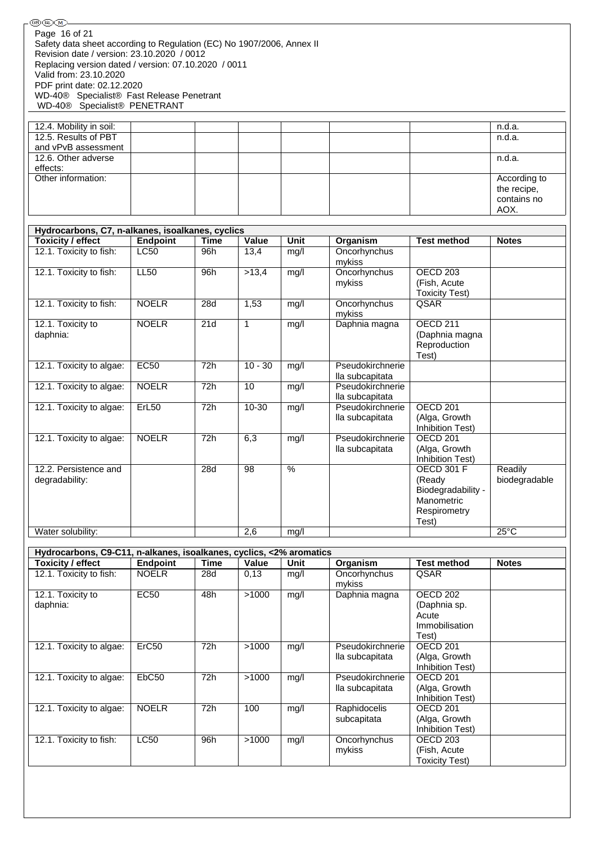| ®O (RD (M                                                             |  |  |        |
|-----------------------------------------------------------------------|--|--|--------|
| Page 16 of 21                                                         |  |  |        |
| Safety data sheet according to Regulation (EC) No 1907/2006, Annex II |  |  |        |
| Revision date / version: 23.10.2020 / 0012                            |  |  |        |
| Replacing version dated / version: 07.10.2020 / 0011                  |  |  |        |
| Valid from: 23.10.2020                                                |  |  |        |
| PDF print date: 02.12.2020                                            |  |  |        |
| WD-40 <sup>®</sup> Specialist <sup>®</sup> Fast Release Penetrant     |  |  |        |
| WD-40® Specialist® PENETRANT                                          |  |  |        |
|                                                                       |  |  |        |
| 12.4. Mobility in soil:                                               |  |  | n.d.a. |
| 12.5. Results of PBT                                                  |  |  | n.d.a. |
| and vPvB assessment                                                   |  |  |        |
|                                                                       |  |  |        |

| and vrvb assessment |  |  |  |              |
|---------------------|--|--|--|--------------|
| 12.6. Other adverse |  |  |  | n.d.a.       |
| effects:            |  |  |  |              |
| Other information:  |  |  |  | According to |
|                     |  |  |  | the recipe,  |
|                     |  |  |  | contains no  |
|                     |  |  |  | AOX.         |

 $n.d.a.  
n.d.a.$ 

| Hydrocarbons, C7, n-alkanes, isoalkanes, cyclics |                 |                  |           |      |                                     |                                                                                          |                          |  |  |  |
|--------------------------------------------------|-----------------|------------------|-----------|------|-------------------------------------|------------------------------------------------------------------------------------------|--------------------------|--|--|--|
| <b>Toxicity / effect</b>                         | <b>Endpoint</b> | <b>Time</b>      | Value     | Unit | Organism                            | <b>Test method</b>                                                                       | <b>Notes</b>             |  |  |  |
| 12.1. Toxicity to fish:                          | <b>LC50</b>     | 96h              | 13,4      | mg/l | Oncorhynchus<br>mykiss              |                                                                                          |                          |  |  |  |
| 12.1. Toxicity to fish:                          | <b>LL50</b>     | 96h              | >13,4     | mg/l | Oncorhynchus<br>mykiss              | <b>OECD 203</b><br>(Fish, Acute<br><b>Toxicity Test)</b>                                 |                          |  |  |  |
| 12.1. Toxicity to fish:                          | <b>NOELR</b>    | $\overline{28}d$ | 1,53      | mg/l | Oncorhynchus<br>mykiss              | QSAR                                                                                     |                          |  |  |  |
| 12.1. Toxicity to<br>daphnia:                    | <b>NOELR</b>    | 21d              | 1         | mg/l | Daphnia magna                       | OECD <sub>211</sub><br>(Daphnia magna<br>Reproduction<br>Test)                           |                          |  |  |  |
| 12.1. Toxicity to algae:                         | <b>EC50</b>     | 72h              | $10 - 30$ | mg/l | Pseudokirchnerie<br>lla subcapitata |                                                                                          |                          |  |  |  |
| 12.1. Toxicity to algae:                         | <b>NOELR</b>    | 72h              | 10        | mg/l | Pseudokirchnerie<br>lla subcapitata |                                                                                          |                          |  |  |  |
| 12.1. Toxicity to algae:                         | ErL50           | 72h              | $10 - 30$ | mg/l | Pseudokirchnerie<br>lla subcapitata | <b>OECD 201</b><br>(Alga, Growth<br>Inhibition Test)                                     |                          |  |  |  |
| 12.1. Toxicity to algae:                         | <b>NOELR</b>    | 72h              | 6,3       | mg/l | Pseudokirchnerie<br>lla subcapitata | OECD <sub>201</sub><br>(Alga, Growth<br>Inhibition Test)                                 |                          |  |  |  |
| 12.2. Persistence and<br>degradability:          |                 | 28d              | 98        | $\%$ |                                     | <b>OECD 301 F</b><br>(Ready<br>Biodegradability -<br>Manometric<br>Respirometry<br>Test) | Readily<br>biodegradable |  |  |  |
| Water solubility:                                |                 |                  | 2,6       | mg/l |                                     |                                                                                          | $25^{\circ}$ C           |  |  |  |

| Hydrocarbons, C9-C11, n-alkanes, isoalkanes, cyclics, <2% aromatics |                   |      |       |      |                  |                     |              |  |  |  |  |
|---------------------------------------------------------------------|-------------------|------|-------|------|------------------|---------------------|--------------|--|--|--|--|
| <b>Toxicity / effect</b>                                            | Endpoint          | Time | Value | Unit | Organism         | <b>Test method</b>  | <b>Notes</b> |  |  |  |  |
| 12.1. Toxicity to fish:                                             | <b>NOELR</b>      | 28d  | 0,13  | mq/l | Oncorhynchus     | QSAR                |              |  |  |  |  |
|                                                                     |                   |      |       |      | mykiss           |                     |              |  |  |  |  |
| 12.1. Toxicity to                                                   | <b>EC50</b>       | 48h  | >1000 | mg/l | Daphnia magna    | <b>OECD 202</b>     |              |  |  |  |  |
| daphnia:                                                            |                   |      |       |      |                  | (Daphnia sp.        |              |  |  |  |  |
|                                                                     |                   |      |       |      |                  | Acute               |              |  |  |  |  |
|                                                                     |                   |      |       |      |                  | Immobilisation      |              |  |  |  |  |
|                                                                     |                   |      |       |      |                  | Test)               |              |  |  |  |  |
| 12.1. Toxicity to algae:                                            | ErC <sub>50</sub> | 72h  | >1000 | mg/l | Pseudokirchnerie | OECD <sub>201</sub> |              |  |  |  |  |
|                                                                     |                   |      |       |      | lla subcapitata  | (Alga, Growth       |              |  |  |  |  |
|                                                                     |                   |      |       |      |                  | Inhibition Test)    |              |  |  |  |  |
| 12.1. Toxicity to algae:                                            | EbC <sub>50</sub> | 72h  | >1000 | mq/l | Pseudokirchnerie | OECD <sub>201</sub> |              |  |  |  |  |
|                                                                     |                   |      |       |      | lla subcapitata  | (Alga, Growth       |              |  |  |  |  |
|                                                                     |                   |      |       |      |                  | Inhibition Test)    |              |  |  |  |  |
| 12.1. Toxicity to algae:                                            | <b>NOELR</b>      | 72h  | 100   | mg/l | Raphidocelis     | OECD <sub>201</sub> |              |  |  |  |  |
|                                                                     |                   |      |       |      | subcapitata      | (Alga, Growth       |              |  |  |  |  |
|                                                                     |                   |      |       |      |                  | Inhibition Test)    |              |  |  |  |  |
| 12.1. Toxicity to fish:                                             | <b>LC50</b>       | 96h  | >1000 | mg/l | Oncorhynchus     | OECD <sub>203</sub> |              |  |  |  |  |
|                                                                     |                   |      |       |      | mykiss           | (Fish, Acute)       |              |  |  |  |  |
|                                                                     |                   |      |       |      |                  | Toxicity Test)      |              |  |  |  |  |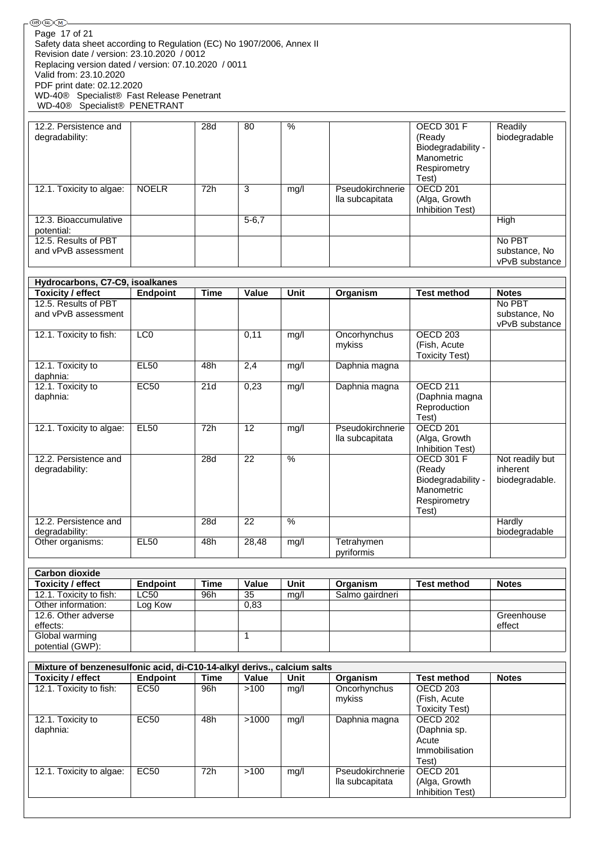| 12.2. Persistence and    |              | 28d | 80         | $\%$ |                  | <b>OECD 301 F</b>   | Readily        |
|--------------------------|--------------|-----|------------|------|------------------|---------------------|----------------|
| degradability:           |              |     |            |      |                  | (Ready              | biodegradable  |
|                          |              |     |            |      |                  | Biodegradability -  |                |
|                          |              |     |            |      |                  | Manometric          |                |
|                          |              |     |            |      |                  | Respirometry        |                |
|                          |              |     |            |      |                  | Test)               |                |
| 12.1. Toxicity to algae: | <b>NOELR</b> | 72h | 3          | mq/l | Pseudokirchnerie | OECD <sub>201</sub> |                |
|                          |              |     |            |      | lla subcapitata  | (Alga, Growth       |                |
|                          |              |     |            |      |                  | Inhibition Test)    |                |
| 12.3. Bioaccumulative    |              |     | $5 - 6, 7$ |      |                  |                     | High           |
| potential:               |              |     |            |      |                  |                     |                |
| 12.5. Results of PBT     |              |     |            |      |                  |                     | No PBT         |
| and vPvB assessment      |              |     |            |      |                  |                     | substance, No  |
|                          |              |     |            |      |                  |                     | vPvB substance |

| Hydrocarbons, C7-C9, isoalkanes |                 |             |       |               |                  |                       |                 |  |  |  |
|---------------------------------|-----------------|-------------|-------|---------------|------------------|-----------------------|-----------------|--|--|--|
| <b>Toxicity / effect</b>        | <b>Endpoint</b> | <b>Time</b> | Value | <b>Unit</b>   | Organism         | <b>Test method</b>    | <b>Notes</b>    |  |  |  |
| 12.5. Results of PBT            |                 |             |       |               |                  |                       | No PBT          |  |  |  |
| and vPvB assessment             |                 |             |       |               |                  |                       | substance, No   |  |  |  |
|                                 |                 |             |       |               |                  |                       | vPvB substance  |  |  |  |
| 12.1. Toxicity to fish:         | LCO             |             | 0,11  | mg/l          | Oncorhynchus     | OECD <sub>203</sub>   |                 |  |  |  |
|                                 |                 |             |       |               | mykiss           | (Fish, Acute          |                 |  |  |  |
|                                 |                 |             |       |               |                  | <b>Toxicity Test)</b> |                 |  |  |  |
| 12.1. Toxicity to               | <b>EL50</b>     | 48h         | 2,4   | mg/l          | Daphnia magna    |                       |                 |  |  |  |
| daphnia:                        |                 |             |       |               |                  |                       |                 |  |  |  |
| 12.1. Toxicity to               | <b>EC50</b>     | 21d         | 0,23  | mg/l          | Daphnia magna    | OECD <sub>211</sub>   |                 |  |  |  |
| daphnia:                        |                 |             |       |               |                  | (Daphnia magna        |                 |  |  |  |
|                                 |                 |             |       |               |                  | Reproduction          |                 |  |  |  |
|                                 |                 |             |       |               |                  | Test)                 |                 |  |  |  |
| 12.1. Toxicity to algae:        | <b>EL50</b>     | 72h         | 12    | mg/l          | Pseudokirchnerie | OECD <sub>201</sub>   |                 |  |  |  |
|                                 |                 |             |       |               | lla subcapitata  | (Alga, Growth         |                 |  |  |  |
|                                 |                 |             |       |               |                  | Inhibition Test)      |                 |  |  |  |
| 12.2. Persistence and           |                 | 28d         | 22    | $\frac{0}{0}$ |                  | <b>OECD 301 F</b>     | Not readily but |  |  |  |
| degradability:                  |                 |             |       |               |                  | (Ready                | inherent        |  |  |  |
|                                 |                 |             |       |               |                  | Biodegradability -    | biodegradable.  |  |  |  |
|                                 |                 |             |       |               |                  | Manometric            |                 |  |  |  |
|                                 |                 |             |       |               |                  | Respirometry          |                 |  |  |  |
|                                 |                 |             |       |               |                  | Test)                 |                 |  |  |  |
| 12.2. Persistence and           |                 | 28d         | 22    | %             |                  |                       | Hardly          |  |  |  |
| degradability:                  |                 |             |       |               |                  |                       | biodegradable   |  |  |  |
| Other organisms:                | <b>EL50</b>     | 48h         | 28,48 | mg/l          | Tetrahymen       |                       |                 |  |  |  |
|                                 |                 |             |       |               | pyriformis       |                       |                 |  |  |  |

| <b>Carbon dioxide</b>    |             |      |       |      |                 |                    |              |  |  |  |
|--------------------------|-------------|------|-------|------|-----------------|--------------------|--------------|--|--|--|
| <b>Toxicity / effect</b> | Endpoint    | Time | Value | Unit | Organism        | <b>Test method</b> | <b>Notes</b> |  |  |  |
| 12.1. Toxicity to fish:  | <b>LC50</b> | 96h  | 35    | mq/l | Salmo gairdneri |                    |              |  |  |  |
| Other information:       | Log Kow     |      | 0,83  |      |                 |                    |              |  |  |  |
| 12.6. Other adverse      |             |      |       |      |                 |                    | Greenhouse   |  |  |  |
| effects:                 |             |      |       |      |                 |                    | effect       |  |  |  |
| Global warming           |             |      |       |      |                 |                    |              |  |  |  |
| potential (GWP):         |             |      |       |      |                 |                    |              |  |  |  |

| Mixture of benzenesulfonic acid, di-C10-14-alkyl derivs., calcium salts |             |      |       |      |                  |                       |              |
|-------------------------------------------------------------------------|-------------|------|-------|------|------------------|-----------------------|--------------|
| <b>Toxicity / effect</b>                                                | Endpoint    | Time | Value | Unit | Organism         | <b>Test method</b>    | <b>Notes</b> |
| 12.1. Toxicity to fish:                                                 | EC50        | 96h  | >100  | mq/l | Oncorhynchus     | OECD 203              |              |
|                                                                         |             |      |       |      | mykiss           | (Fish, Acute)         |              |
|                                                                         |             |      |       |      |                  | <b>Toxicity Test)</b> |              |
| 12.1. Toxicity to                                                       | <b>EC50</b> | 48h  | >1000 | mg/l | Daphnia magna    | OECD 202              |              |
| daphnia:                                                                |             |      |       |      |                  | (Daphnia sp.          |              |
|                                                                         |             |      |       |      |                  | Acute                 |              |
|                                                                         |             |      |       |      |                  | Immobilisation        |              |
|                                                                         |             |      |       |      |                  | Test)                 |              |
| 12.1. Toxicity to algae:                                                | EC50        | 72h  | >100  | mq/l | Pseudokirchnerie | OECD 201              |              |
|                                                                         |             |      |       |      | lla subcapitata  | (Alga, Growth         |              |
|                                                                         |             |      |       |      |                  | Inhibition Test)      |              |
|                                                                         |             |      |       |      |                  |                       |              |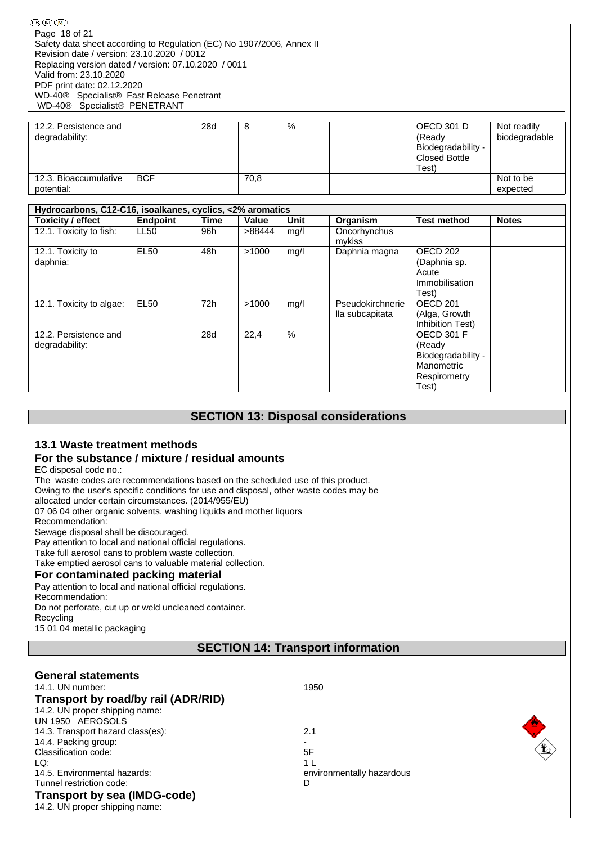| 12.2. Persistence and |            | 28d | 8    | % | OECD 301 D           | Not readily   |
|-----------------------|------------|-----|------|---|----------------------|---------------|
| degradability:        |            |     |      |   | (Ready               | biodegradable |
|                       |            |     |      |   | Biodegradability -   |               |
|                       |            |     |      |   | <b>Closed Bottle</b> |               |
|                       |            |     |      |   | Test                 |               |
| 12.3. Bioaccumulative | <b>BCF</b> |     | 70,8 |   |                      | Not to be     |
| potential:            |            |     |      |   |                      | expected      |

| Hydrocarbons, C12-C16, isoalkanes, cyclics, <2% aromatics |                 |      |        |      |                                     |                                                                                          |              |
|-----------------------------------------------------------|-----------------|------|--------|------|-------------------------------------|------------------------------------------------------------------------------------------|--------------|
| <b>Toxicity / effect</b>                                  | <b>Endpoint</b> | Time | Value  | Unit | Organism                            | <b>Test method</b>                                                                       | <b>Notes</b> |
| 12.1. Toxicity to fish:                                   | <b>LL50</b>     | 96h  | >88444 | mq/l | Oncorhynchus<br>mykiss              |                                                                                          |              |
| 12.1. Toxicity to<br>daphnia:                             | <b>EL50</b>     | 48h  | >1000  | mq/l | Daphnia magna                       | OECD 202<br>(Daphnia sp.<br>Acute<br>Immobilisation<br>Test)                             |              |
| 12.1. Toxicity to algae:                                  | <b>EL50</b>     | 72h  | >1000  | mq/l | Pseudokirchnerie<br>lla subcapitata | OECD <sub>201</sub><br>(Alga, Growth<br>Inhibition Test)                                 |              |
| 12.2. Persistence and<br>degradability:                   |                 | 28d  | 22,4   | $\%$ |                                     | <b>OECD 301 F</b><br>(Ready<br>Biodegradability -<br>Manometric<br>Respirometry<br>Test) |              |

## **SECTION 13: Disposal considerations**

## **13.1 Waste treatment methods**

## **For the substance / mixture / residual amounts**

EC disposal code no.:

The waste codes are recommendations based on the scheduled use of this product.

Owing to the user's specific conditions for use and disposal, other waste codes may be

allocated under certain circumstances. (2014/955/EU)

07 06 04 other organic solvents, washing liquids and mother liquors

Recommendation:

Sewage disposal shall be discouraged.

Pay attention to local and national official regulations.

Take full aerosol cans to problem waste collection.

Take emptied aerosol cans to valuable material collection.

### **For contaminated packing material**

Pay attention to local and national official regulations.

Recommendation: Do not perforate, cut up or weld uncleaned container.

Recycling

15 01 04 metallic packaging

## **SECTION 14: Transport information**

| <b>General statements</b>           |                           |
|-------------------------------------|---------------------------|
| 14.1. UN number:                    | 1950                      |
| Transport by road/by rail (ADR/RID) |                           |
| 14.2. UN proper shipping name:      |                           |
| UN 1950 AEROSOLS                    |                           |
| 14.3. Transport hazard class(es):   | 2.1                       |
| 14.4. Packing group:                |                           |
| Classification code:                | 盭<br>5F                   |
| LQ:                                 | 1                         |
| 14.5. Environmental hazards:        | environmentally hazardous |
| Tunnel restriction code:            | D                         |
| <b>Transport by sea (IMDG-code)</b> |                           |
| 14.2. UN proper shipping name:      |                           |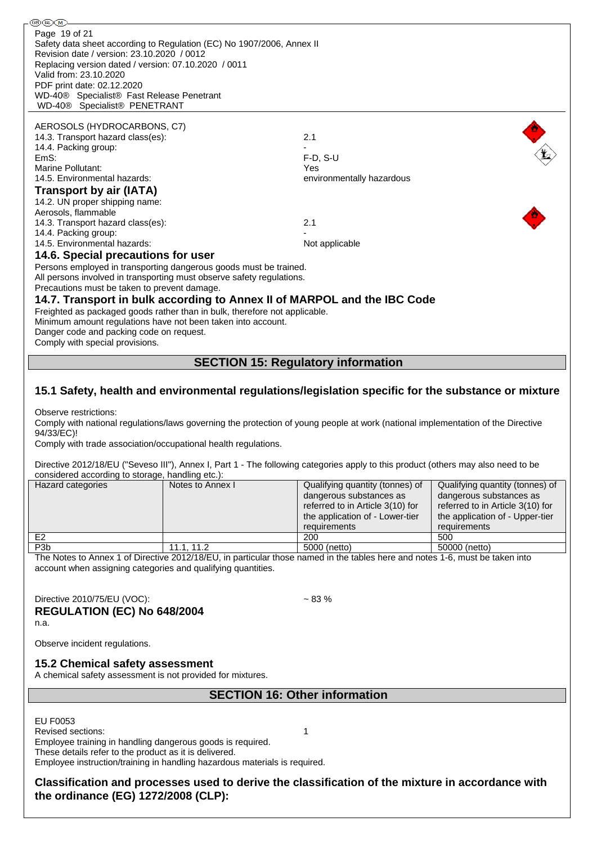֍֎Ծ Page 19 of 21Safety data sheet according to Regulation (EC) No 1907/2006, Annex II Revision date / version: 23.10.2020 / 0012 Replacing version dated / version: 07.10.2020 / 0011 Valid from: 23.10.2020 PDF print date: 02.12.2020 WD-40® Specialist® Fast Release Penetrant WD-40® Specialist® PENETRANT AEROSOLS (HYDROCARBONS, C7) 14.3. Transport hazard class(es): 2.1  $\mathbf{E}$ 14.4. Packing group: EmS: F-D, S-U Marine Pollutant: Yes 14.5. Environmental hazards: environmentally hazardous **Transport by air (IATA)** 14.2. UN proper shipping name: Aerosols, flammable 14.3. Transport hazard class(es): 2.1 14.4. Packing group: 14.5. Environmental hazards: Not applicable Not applicable **14.6. Special precautions for user** Persons employed in transporting dangerous goods must be trained. All persons involved in transporting must observe safety regulations. Precautions must be taken to prevent damage. **14.7. Transport in bulk according to Annex II of MARPOL and the IBC Code** Freighted as packaged goods rather than in bulk, therefore not applicable. Minimum amount regulations have not been taken into account. Danger code and packing code on request. Comply with special provisions.

## **SECTION 15: Regulatory information**

## **15.1 Safety, health and environmental regulations/legislation specific for the substance or mixture**

Observe restrictions:

Comply with national regulations/laws governing the protection of young people at work (national implementation of the Directive 94/33/EC)!

Comply with trade association/occupational health regulations.

Directive 2012/18/EU ("Seveso III"), Annex I, Part 1 - The following categories apply to this product (others may also need to be considered according to storage, handling etc.):

| Hazard categories | Notes to Annex I | Qualifying quantity (tonnes) of                    | Qualifying quantity (tonnes) of  |
|-------------------|------------------|----------------------------------------------------|----------------------------------|
|                   |                  | dangerous substances as<br>dangerous substances as |                                  |
|                   |                  | referred to in Article 3(10) for                   | referred to in Article 3(10) for |
|                   |                  | the application of - Lower-tier                    | the application of - Upper-tier  |
|                   |                  | requirements                                       | requirements                     |
| E <sub>2</sub>    |                  | 200                                                | 500                              |
| P <sub>3</sub> b  | 11.1, 11.2       | 5000 (netto)                                       | 50000 (netto)                    |

The Notes to Annex 1 of Directive 2012/18/EU, in particular those named in the tables here and notes 1-6, must be taken into account when assigning categories and qualifying quantities.

Directive 2010/75/EU (VOC):  $\sim$  83 %

**REGULATION (EC) No 648/2004**

n.a.

Observe incident regulations.

### **15.2 Chemical safety assessment**

A chemical safety assessment is not provided for mixtures.

**SECTION 16: Other information**

EU F0053

Revised sections: 1

Employee training in handling dangerous goods is required. These details refer to the product as it is delivered.

Employee instruction/training in handling hazardous materials is required.

**Classification and processes used to derive the classification of the mixture in accordance with the ordinance (EG) 1272/2008 (CLP):**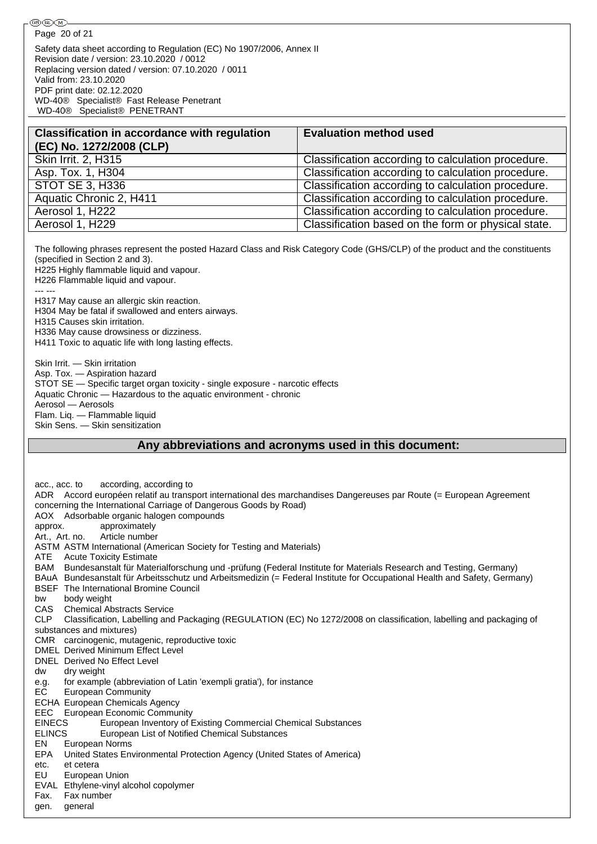Page 20 of 21

Safety data sheet according to Regulation (EC) No 1907/2006, Annex II Revision date / version: 23.10.2020 / 0012 Replacing version dated / version: 07.10.2020 / 0011 Valid from: 23.10.2020 PDF print date: 02.12.2020 WD-40® Specialist® Fast Release Penetrant WD-40® Specialist® PENETRANT

| <b>Evaluation method used</b>                       |
|-----------------------------------------------------|
| Classification according to calculation procedure.  |
| Classification according to calculation procedure.  |
| Classification according to calculation procedure.  |
| Classification according to calculation procedure.  |
| Classification according to calculation procedure.  |
| Classification based on the form or physical state. |
|                                                     |

The following phrases represent the posted Hazard Class and Risk Category Code (GHS/CLP) of the product and the constituents (specified in Section 2 and 3). H225 Highly flammable liquid and vapour. H226 Flammable liquid and vapour. --- --- H317 May cause an allergic skin reaction. H304 May be fatal if swallowed and enters airways. H315 Causes skin irritation. H336 May cause drowsiness or dizziness. H411 Toxic to aquatic life with long lasting effects. Skin Irrit. — Skin irritation Asp. Tox. — Aspiration hazard STOT SE — Specific target organ toxicity - single exposure - narcotic effects

Aquatic Chronic — Hazardous to the aquatic environment - chronic

Aerosol — Aerosols

Flam. Liq. — Flammable liquid

Skin Sens. — Skin sensitization

## **Any abbreviations and acronyms used in this document:**

acc., acc. to according, according to ADR Accord européen relatif au transport international des marchandises Dangereuses par Route (= European Agreement concerning the International Carriage of Dangerous Goods by Road) AOX Adsorbable organic halogen compounds approx. approximately Art., Art. no. Article number ASTM ASTM International (American Society for Testing and Materials) ATE Acute Toxicity Estimate BAM Bundesanstalt für Materialforschung und -prüfung (Federal Institute for Materials Research and Testing, Germany) BAuA Bundesanstalt für Arbeitsschutz und Arbeitsmedizin (= Federal Institute for Occupational Health and Safety, Germany) BSEF The International Bromine Council bw body weight CAS Chemical Abstracts Service CLP Classification, Labelling and Packaging (REGULATION (EC) No 1272/2008 on classification, labelling and packaging of substances and mixtures) CMR carcinogenic, mutagenic, reproductive toxic DMEL Derived Minimum Effect Level DNEL Derived No Effect Level dw dry weight e.g. for example (abbreviation of Latin 'exempli gratia'), for instance EC European Community ECHA European Chemicals Agency EEC European Economic Community EINECS European Inventory of Existing Commercial Chemical Substances ELINCS European List of Notified Chemical Substances EN European Norms EPA United States Environmental Protection Agency (United States of America) etc. et cetera EU European Union EVAL Ethylene-vinyl alcohol copolymer Fax. Fax number gen. general